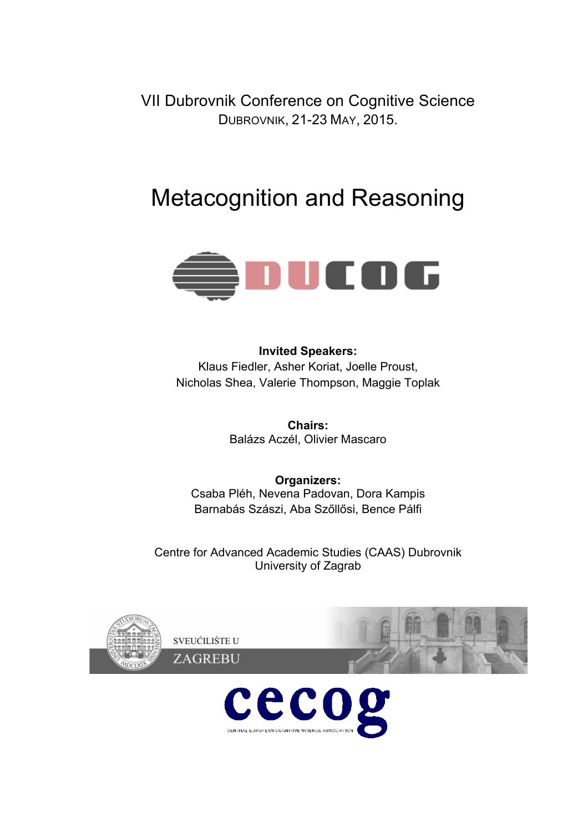VII Dubrovnik Conference on Cognitive Science DUBROVNIK, 21-23 MAY, 2015.

# Metacognition and Reasoning



**Invited Speakers:** Klaus Fiedler, Asher Koriat, Joelle Proust, Nicholas Shea, Valerie Thompson, Maggie Toplak

> **Chairs:** Balázs Aczél, Olivier Mascaro

**Organizers:** Csaba Pléh, Nevena Padovan, Dora Kampis Barnabás Szászi, Aba Szőllősi, Bence Pálfi

Centre for Advanced Academic Studies (CAAS) Dubrovnik University of Zagrab



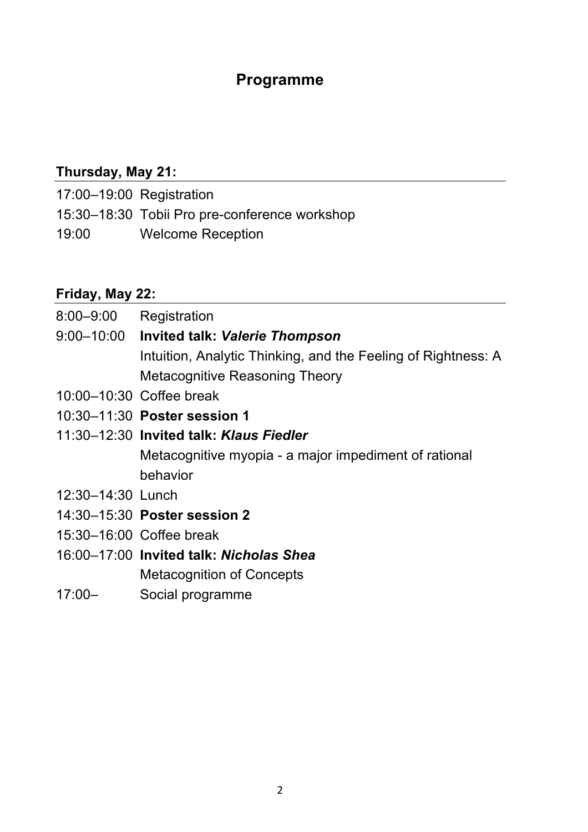# **Programme**

# **Thursday, May 21:**

- 17:00–19:00 Registration
- 15:30–18:30 Tobii Pro pre-conference workshop
- 19:00 Welcome Reception

# **Friday, May 22:**

- 8:00–9:00 Registration 9:00–10:00 **Invited talk:** *Valerie Thompson* Intuition, Analytic Thinking, and the Feeling of Rightness: A Metacognitive Reasoning Theory
- 10:00–10:30 Coffee break
- 10:30–11:30 **Poster session 1**
- 11:30–12:30 **Invited talk:** *Klaus Fiedler* Metacognitive myopia - a major impediment of rational behavior
- 12:30–14:30 Lunch
- 14:30–15:30 **Poster session 2**
- 15:30–16:00 Coffee break
- 16:00–17:00 **Invited talk:** *Nicholas Shea* Metacognition of Concepts
- 17:00– Social programme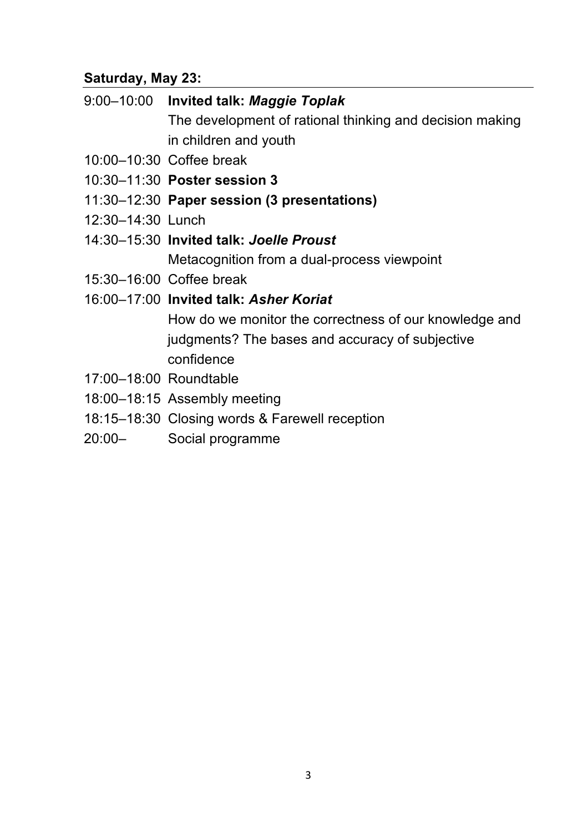# **Saturday, May 23:**

| 9:00–10:00 Invited talk: Maggie Toplak                   |
|----------------------------------------------------------|
| The development of rational thinking and decision making |
| in children and youth                                    |
| 10:00-10:30 Coffee break                                 |

- 10:30–11:30 **Poster session 3**
- 11:30–12:30 **Paper session (3 presentations)**
- 12:30–14:30 Lunch
- 14:30–15:30 **Invited talk:** *Joelle Proust* Metacognition from a dual-process viewpoint
- 15:30–16:00 Coffee break
- 16:00–17:00 **Invited talk:** *Asher Koriat* How do we monitor the correctness of our knowledge and judgments? The bases and accuracy of subjective confidence
- 17:00–18:00 Roundtable
- 18:00–18:15 Assembly meeting
- 18:15–18:30 Closing words & Farewell reception
- 20:00– Social programme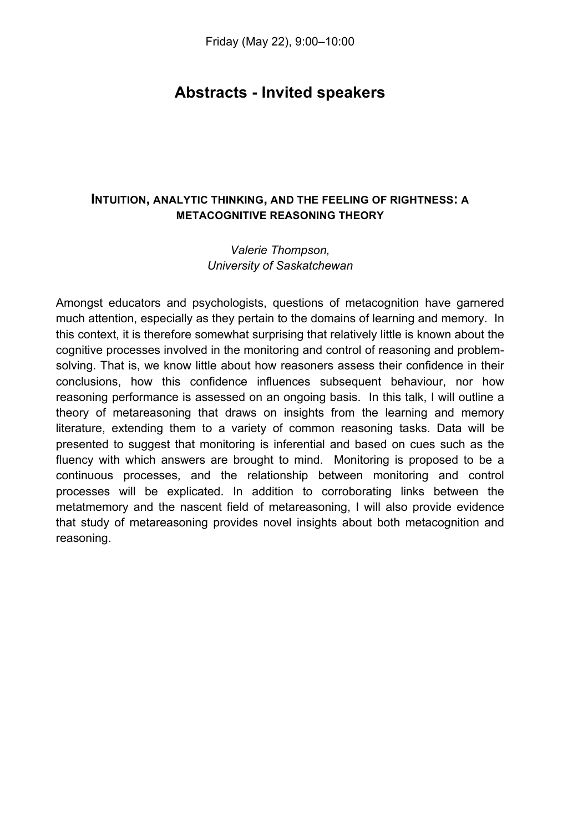# **Abstracts - Invited speakers**

# **INTUITION, ANALYTIC THINKING, AND THE FEELING OF RIGHTNESS: A METACOGNITIVE REASONING THEORY**

#### *Valerie Thompson, University of Saskatchewan*

Amongst educators and psychologists, questions of metacognition have garnered much attention, especially as they pertain to the domains of learning and memory. In this context, it is therefore somewhat surprising that relatively little is known about the cognitive processes involved in the monitoring and control of reasoning and problemsolving. That is, we know little about how reasoners assess their confidence in their conclusions, how this confidence influences subsequent behaviour, nor how reasoning performance is assessed on an ongoing basis. In this talk, I will outline a theory of metareasoning that draws on insights from the learning and memory literature, extending them to a variety of common reasoning tasks. Data will be presented to suggest that monitoring is inferential and based on cues such as the fluency with which answers are brought to mind. Monitoring is proposed to be a continuous processes, and the relationship between monitoring and control processes will be explicated. In addition to corroborating links between the metatmemory and the nascent field of metareasoning, I will also provide evidence that study of metareasoning provides novel insights about both metacognition and reasoning.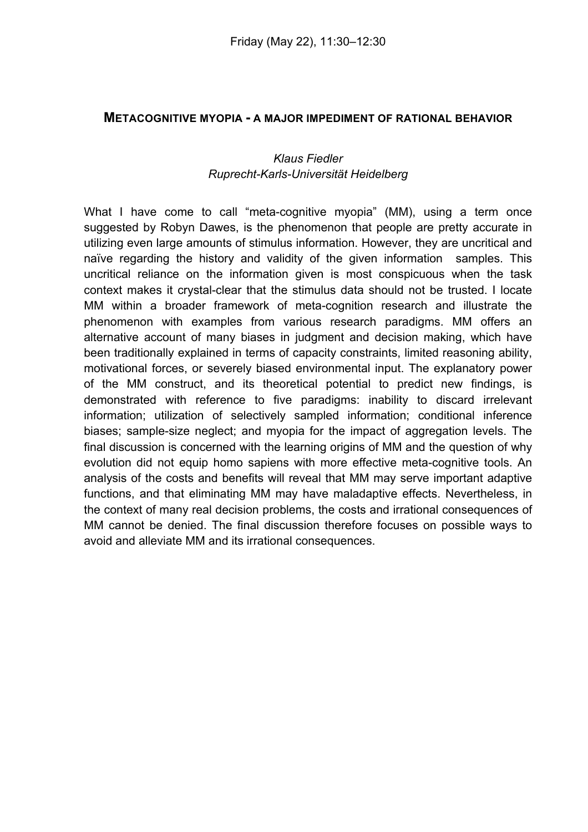#### **METACOGNITIVE MYOPIA - A MAJOR IMPEDIMENT OF RATIONAL BEHAVIOR**

#### *Klaus Fiedler Ruprecht-Karls-Universität Heidelberg*

What I have come to call "meta-cognitive myopia" (MM), using a term once suggested by Robyn Dawes, is the phenomenon that people are pretty accurate in utilizing even large amounts of stimulus information. However, they are uncritical and naïve regarding the history and validity of the given information samples. This uncritical reliance on the information given is most conspicuous when the task context makes it crystal-clear that the stimulus data should not be trusted. I locate MM within a broader framework of meta-cognition research and illustrate the phenomenon with examples from various research paradigms. MM offers an alternative account of many biases in judgment and decision making, which have been traditionally explained in terms of capacity constraints, limited reasoning ability, motivational forces, or severely biased environmental input. The explanatory power of the MM construct, and its theoretical potential to predict new findings, is demonstrated with reference to five paradigms: inability to discard irrelevant information; utilization of selectively sampled information; conditional inference biases; sample-size neglect; and myopia for the impact of aggregation levels. The final discussion is concerned with the learning origins of MM and the question of why evolution did not equip homo sapiens with more effective meta-cognitive tools. An analysis of the costs and benefits will reveal that MM may serve important adaptive functions, and that eliminating MM may have maladaptive effects. Nevertheless, in the context of many real decision problems, the costs and irrational consequences of MM cannot be denied. The final discussion therefore focuses on possible ways to avoid and alleviate MM and its irrational consequences.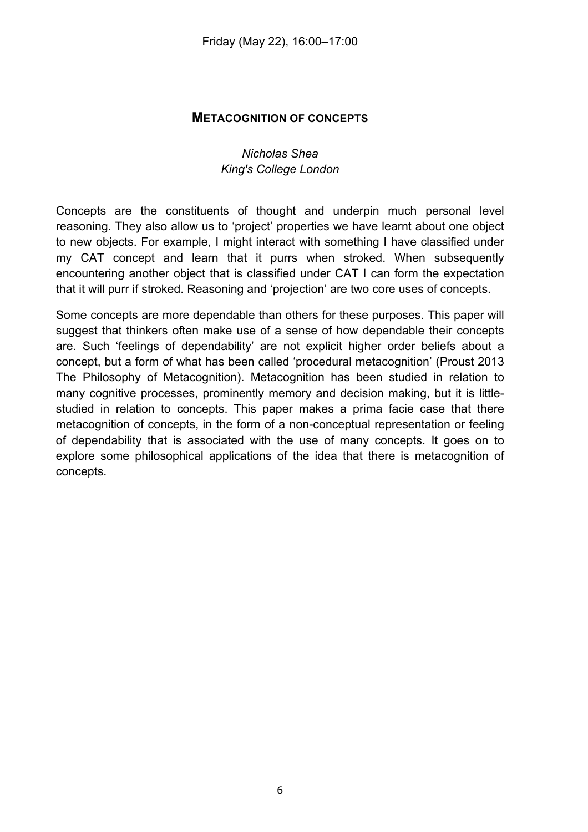#### **METACOGNITION OF CONCEPTS**

#### *Nicholas Shea King's College London*

Concepts are the constituents of thought and underpin much personal level reasoning. They also allow us to 'project' properties we have learnt about one object to new objects. For example, I might interact with something I have classified under my CAT concept and learn that it purrs when stroked. When subsequently encountering another object that is classified under CAT I can form the expectation that it will purr if stroked. Reasoning and 'projection' are two core uses of concepts.

Some concepts are more dependable than others for these purposes. This paper will suggest that thinkers often make use of a sense of how dependable their concepts are. Such 'feelings of dependability' are not explicit higher order beliefs about a concept, but a form of what has been called 'procedural metacognition' (Proust 2013 The Philosophy of Metacognition). Metacognition has been studied in relation to many cognitive processes, prominently memory and decision making, but it is littlestudied in relation to concepts. This paper makes a prima facie case that there metacognition of concepts, in the form of a non-conceptual representation or feeling of dependability that is associated with the use of many concepts. It goes on to explore some philosophical applications of the idea that there is metacognition of concepts.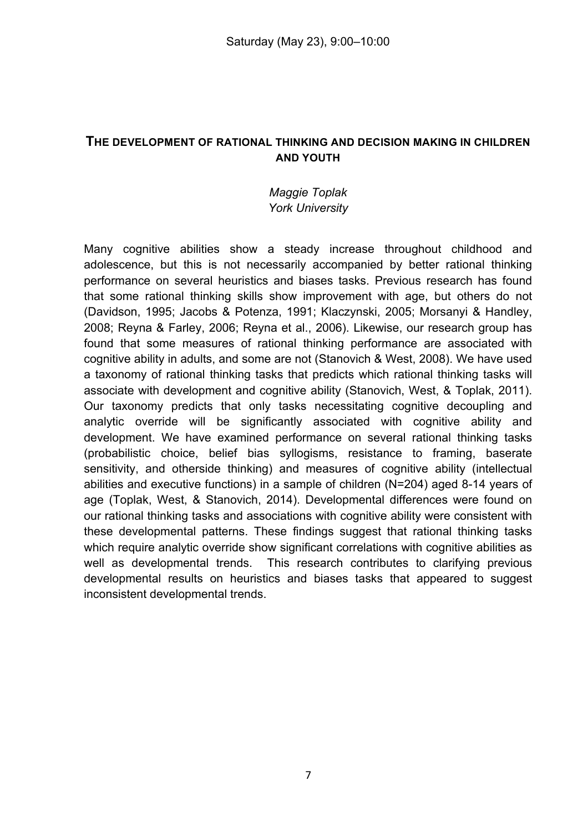#### **THE DEVELOPMENT OF RATIONAL THINKING AND DECISION MAKING IN CHILDREN AND YOUTH**

#### *Maggie Toplak York University*

Many cognitive abilities show a steady increase throughout childhood and adolescence, but this is not necessarily accompanied by better rational thinking performance on several heuristics and biases tasks. Previous research has found that some rational thinking skills show improvement with age, but others do not (Davidson, 1995; Jacobs & Potenza, 1991; Klaczynski, 2005; Morsanyi & Handley, 2008; Reyna & Farley, 2006; Reyna et al., 2006). Likewise, our research group has found that some measures of rational thinking performance are associated with cognitive ability in adults, and some are not (Stanovich & West, 2008). We have used a taxonomy of rational thinking tasks that predicts which rational thinking tasks will associate with development and cognitive ability (Stanovich, West, & Toplak, 2011). Our taxonomy predicts that only tasks necessitating cognitive decoupling and analytic override will be significantly associated with cognitive ability and development. We have examined performance on several rational thinking tasks (probabilistic choice, belief bias syllogisms, resistance to framing, baserate sensitivity, and otherside thinking) and measures of cognitive ability (intellectual abilities and executive functions) in a sample of children (N=204) aged 8-14 years of age (Toplak, West, & Stanovich, 2014). Developmental differences were found on our rational thinking tasks and associations with cognitive ability were consistent with these developmental patterns. These findings suggest that rational thinking tasks which require analytic override show significant correlations with cognitive abilities as well as developmental trends. This research contributes to clarifying previous developmental results on heuristics and biases tasks that appeared to suggest inconsistent developmental trends.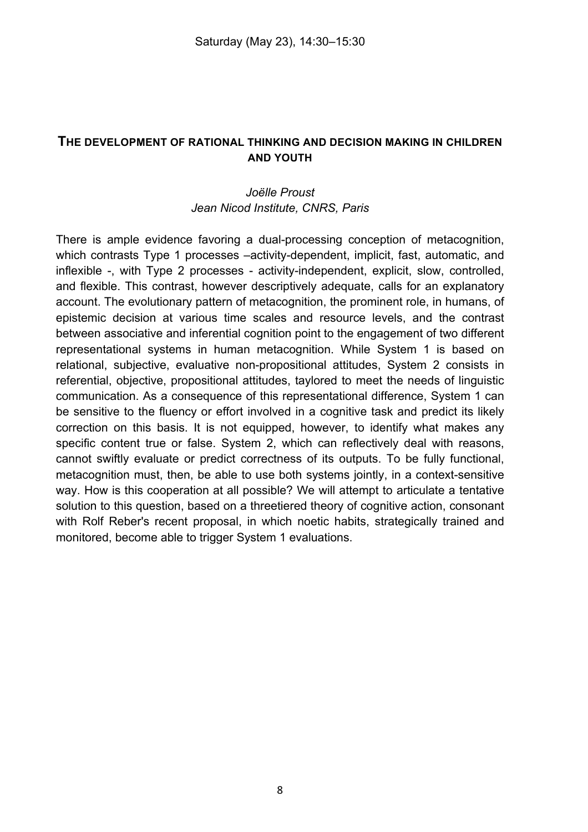#### **THE DEVELOPMENT OF RATIONAL THINKING AND DECISION MAKING IN CHILDREN AND YOUTH**

#### *Joëlle Proust Jean Nicod Institute, CNRS, Paris*

There is ample evidence favoring a dual-processing conception of metacognition, which contrasts Type 1 processes –activity-dependent, implicit, fast, automatic, and inflexible -, with Type 2 processes - activity-independent, explicit, slow, controlled, and flexible. This contrast, however descriptively adequate, calls for an explanatory account. The evolutionary pattern of metacognition, the prominent role, in humans, of epistemic decision at various time scales and resource levels, and the contrast between associative and inferential cognition point to the engagement of two different representational systems in human metacognition. While System 1 is based on relational, subjective, evaluative non-propositional attitudes, System 2 consists in referential, objective, propositional attitudes, taylored to meet the needs of linguistic communication. As a consequence of this representational difference, System 1 can be sensitive to the fluency or effort involved in a cognitive task and predict its likely correction on this basis. It is not equipped, however, to identify what makes any specific content true or false. System 2, which can reflectively deal with reasons, cannot swiftly evaluate or predict correctness of its outputs. To be fully functional, metacognition must, then, be able to use both systems jointly, in a context-sensitive way. How is this cooperation at all possible? We will attempt to articulate a tentative solution to this question, based on a threetiered theory of cognitive action, consonant with Rolf Reber's recent proposal, in which noetic habits, strategically trained and monitored, become able to trigger System 1 evaluations.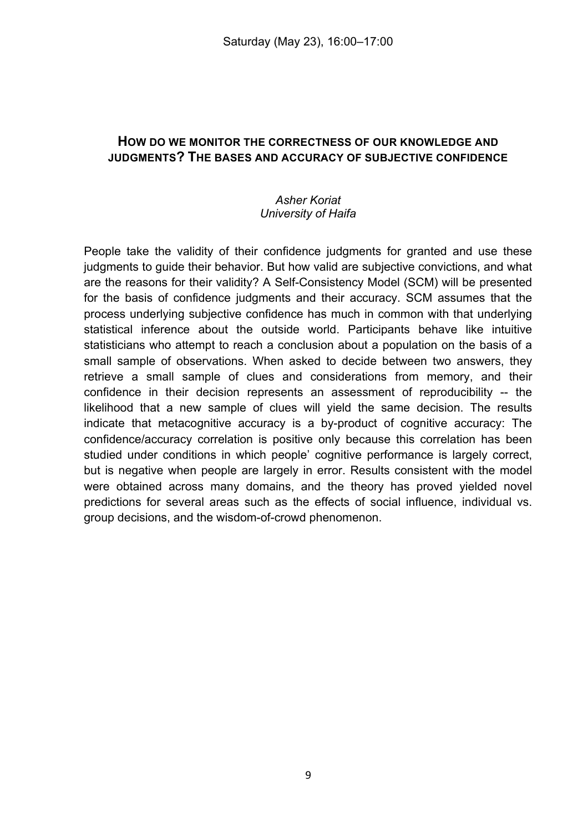# **HOW DO WE MONITOR THE CORRECTNESS OF OUR KNOWLEDGE AND JUDGMENTS? THE BASES AND ACCURACY OF SUBJECTIVE CONFIDENCE**

#### *Asher Koriat University of Haifa*

People take the validity of their confidence judgments for granted and use these judgments to guide their behavior. But how valid are subjective convictions, and what are the reasons for their validity? A Self-Consistency Model (SCM) will be presented for the basis of confidence judgments and their accuracy. SCM assumes that the process underlying subjective confidence has much in common with that underlying statistical inference about the outside world. Participants behave like intuitive statisticians who attempt to reach a conclusion about a population on the basis of a small sample of observations. When asked to decide between two answers, they retrieve a small sample of clues and considerations from memory, and their confidence in their decision represents an assessment of reproducibility -- the likelihood that a new sample of clues will yield the same decision. The results indicate that metacognitive accuracy is a by-product of cognitive accuracy: The confidence/accuracy correlation is positive only because this correlation has been studied under conditions in which people' cognitive performance is largely correct, but is negative when people are largely in error. Results consistent with the model were obtained across many domains, and the theory has proved yielded novel predictions for several areas such as the effects of social influence, individual vs. group decisions, and the wisdom-of-crowd phenomenon.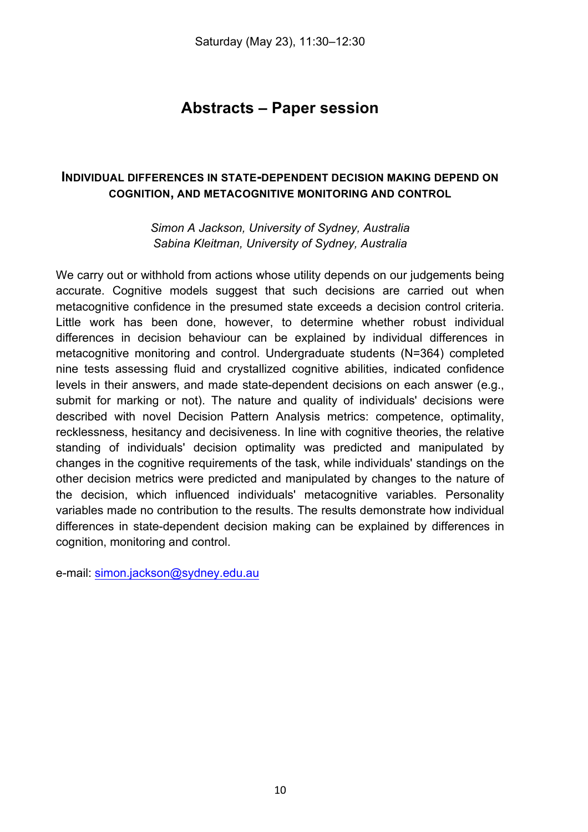# **Abstracts – Paper session**

# **INDIVIDUAL DIFFERENCES IN STATE-DEPENDENT DECISION MAKING DEPEND ON COGNITION, AND METACOGNITIVE MONITORING AND CONTROL**

*Simon A Jackson, University of Sydney, Australia Sabina Kleitman, University of Sydney, Australia*

We carry out or withhold from actions whose utility depends on our judgements being accurate. Cognitive models suggest that such decisions are carried out when metacognitive confidence in the presumed state exceeds a decision control criteria. Little work has been done, however, to determine whether robust individual differences in decision behaviour can be explained by individual differences in metacognitive monitoring and control. Undergraduate students (N=364) completed nine tests assessing fluid and crystallized cognitive abilities, indicated confidence levels in their answers, and made state-dependent decisions on each answer (e.g., submit for marking or not). The nature and quality of individuals' decisions were described with novel Decision Pattern Analysis metrics: competence, optimality, recklessness, hesitancy and decisiveness. In line with cognitive theories, the relative standing of individuals' decision optimality was predicted and manipulated by changes in the cognitive requirements of the task, while individuals' standings on the other decision metrics were predicted and manipulated by changes to the nature of the decision, which influenced individuals' metacognitive variables. Personality variables made no contribution to the results. The results demonstrate how individual differences in state-dependent decision making can be explained by differences in cognition, monitoring and control.

e-mail: simon.jackson@sydney.edu.au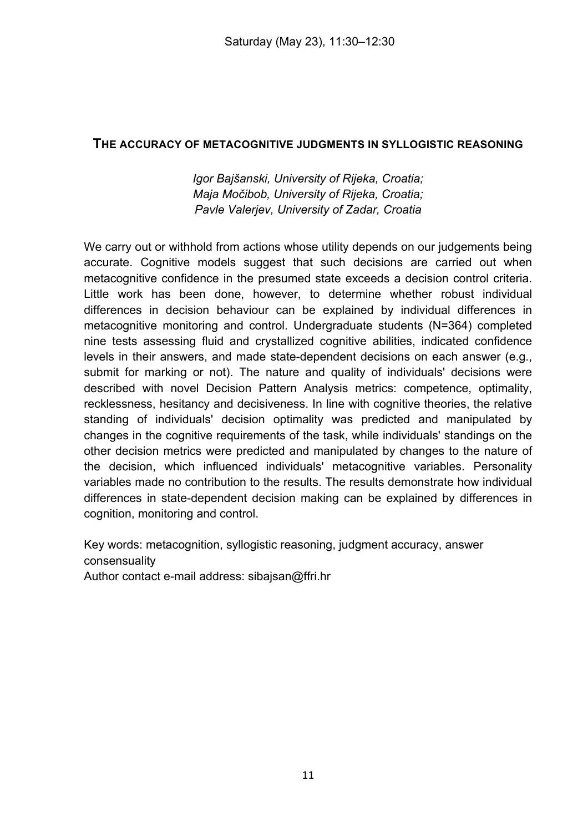#### **THE ACCURACY OF METACOGNITIVE JUDGMENTS IN SYLLOGISTIC REASONING**

*Igor Bajšanski, University of Rijeka, Croatia; Maja Močibob, University of Rijeka, Croatia; Pavle Valerjev, University of Zadar, Croatia*

We carry out or withhold from actions whose utility depends on our judgements being accurate. Cognitive models suggest that such decisions are carried out when metacognitive confidence in the presumed state exceeds a decision control criteria. Little work has been done, however, to determine whether robust individual differences in decision behaviour can be explained by individual differences in metacognitive monitoring and control. Undergraduate students (N=364) completed nine tests assessing fluid and crystallized cognitive abilities, indicated confidence levels in their answers, and made state-dependent decisions on each answer (e.g., submit for marking or not). The nature and quality of individuals' decisions were described with novel Decision Pattern Analysis metrics: competence, optimality, recklessness, hesitancy and decisiveness. In line with cognitive theories, the relative standing of individuals' decision optimality was predicted and manipulated by changes in the cognitive requirements of the task, while individuals' standings on the other decision metrics were predicted and manipulated by changes to the nature of the decision, which influenced individuals' metacognitive variables. Personality variables made no contribution to the results. The results demonstrate how individual differences in state-dependent decision making can be explained by differences in cognition, monitoring and control.

Key words: metacognition, syllogistic reasoning, judgment accuracy, answer consensuality

Author contact e-mail address: sibajsan@ffri.hr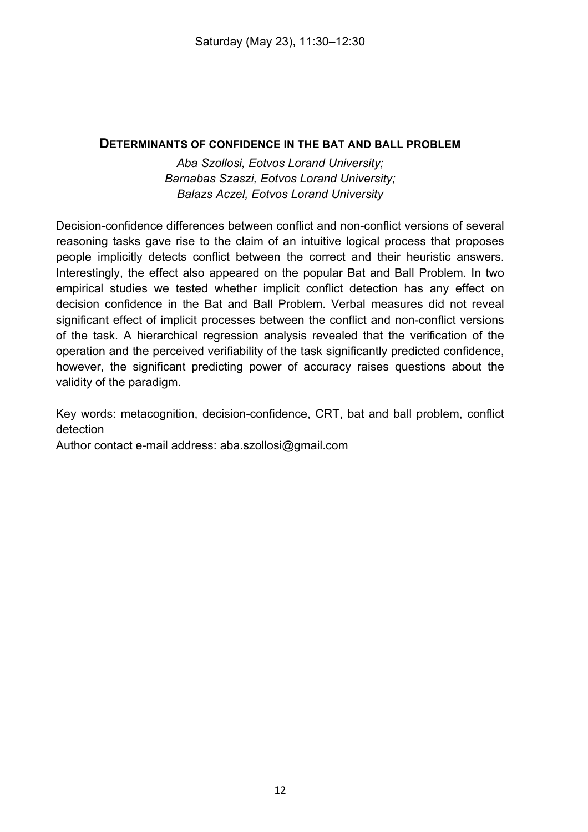#### **DETERMINANTS OF CONFIDENCE IN THE BAT AND BALL PROBLEM**

*Aba Szollosi, Eotvos Lorand University; Barnabas Szaszi, Eotvos Lorand University; Balazs Aczel, Eotvos Lorand University*

Decision-confidence differences between conflict and non-conflict versions of several reasoning tasks gave rise to the claim of an intuitive logical process that proposes people implicitly detects conflict between the correct and their heuristic answers. Interestingly, the effect also appeared on the popular Bat and Ball Problem. In two empirical studies we tested whether implicit conflict detection has any effect on decision confidence in the Bat and Ball Problem. Verbal measures did not reveal significant effect of implicit processes between the conflict and non-conflict versions of the task. A hierarchical regression analysis revealed that the verification of the operation and the perceived verifiability of the task significantly predicted confidence, however, the significant predicting power of accuracy raises questions about the validity of the paradigm.

Key words: metacognition, decision-confidence, CRT, bat and ball problem, conflict detection

Author contact e-mail address: aba.szollosi@gmail.com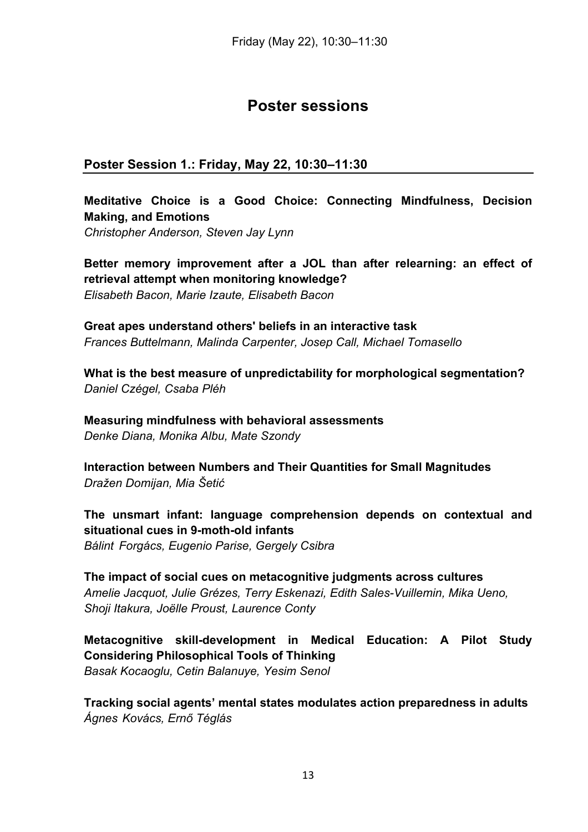# **Poster sessions**

# **Poster Session 1.: Friday, May 22, 10:30–11:30**

# **Meditative Choice is a Good Choice: Connecting Mindfulness, Decision Making, and Emotions**

*Christopher Anderson, Steven Jay Lynn*

**Better memory improvement after a JOL than after relearning: an effect of retrieval attempt when monitoring knowledge?** *Elisabeth Bacon, Marie Izaute, Elisabeth Bacon*

**Great apes understand others' beliefs in an interactive task** *Frances Buttelmann, Malinda Carpenter, Josep Call, Michael Tomasello*

**What is the best measure of unpredictability for morphological segmentation?** *Daniel Czégel, Csaba Pléh*

**Measuring mindfulness with behavioral assessments** *Denke Diana, Monika Albu, Mate Szondy*

**Interaction between Numbers and Their Quantities for Small Magnitudes** *Dražen Domijan, Mia Šetić*

**The unsmart infant: language comprehension depends on contextual and situational cues in 9-moth-old infants**

*Bálint Forgács, Eugenio Parise, Gergely Csibra*

**The impact of social cues on metacognitive judgments across cultures** *Amelie Jacquot, Julie Grézes, Terry Eskenazi, Edith Sales-Vuillemin, Mika Ueno, Shoji Itakura, Joëlle Proust, Laurence Conty*

**Metacognitive skill-development in Medical Education: A Pilot Study Considering Philosophical Tools of Thinking** *Basak Kocaoglu, Cetin Balanuye, Yesim Senol*

**Tracking social agents' mental states modulates action preparedness in adults** *Ágnes Kovács, Ernő Téglás*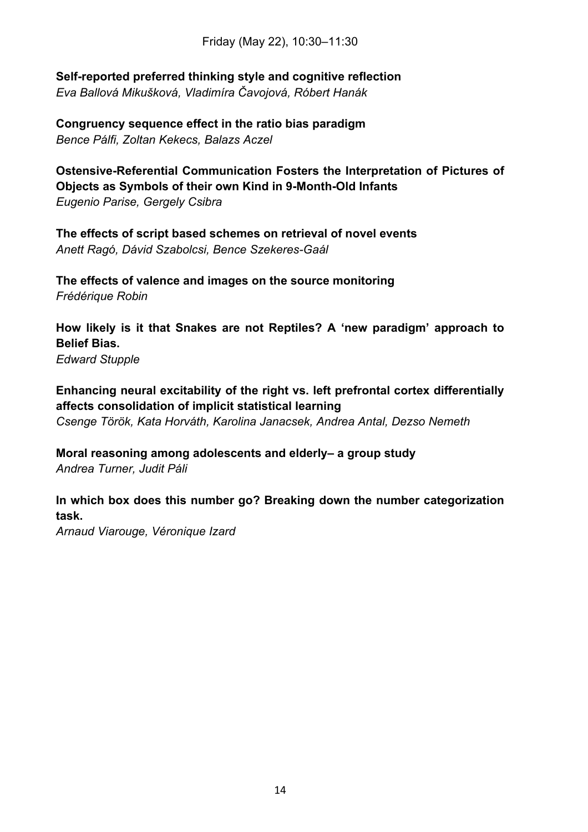Friday (May 22), 10:30–11:30

**Self-reported preferred thinking style and cognitive reflection** *Eva Ballová Mikušková, Vladimíra Čavojová, Róbert Hanák*

**Congruency sequence effect in the ratio bias paradigm** *Bence Pálfi, Zoltan Kekecs, Balazs Aczel*

**Ostensive-Referential Communication Fosters the Interpretation of Pictures of Objects as Symbols of their own Kind in 9-Month-Old Infants** *Eugenio Parise, Gergely Csibra*

**The effects of script based schemes on retrieval of novel events** *Anett Ragó, Dávid Szabolcsi, Bence Szekeres-Gaál*

**The effects of valence and images on the source monitoring** *Frédérique Robin*

**How likely is it that Snakes are not Reptiles? A 'new paradigm' approach to Belief Bias.** *Edward Stupple*

**Enhancing neural excitability of the right vs. left prefrontal cortex differentially affects consolidation of implicit statistical learning**

*Csenge Török, Kata Horváth, Karolina Janacsek, Andrea Antal, Dezso Nemeth*

**Moral reasoning among adolescents and elderly– a group study** *Andrea Turner, Judit Páli*

**In which box does this number go? Breaking down the number categorization task.**

*Arnaud Viarouge, Véronique Izard*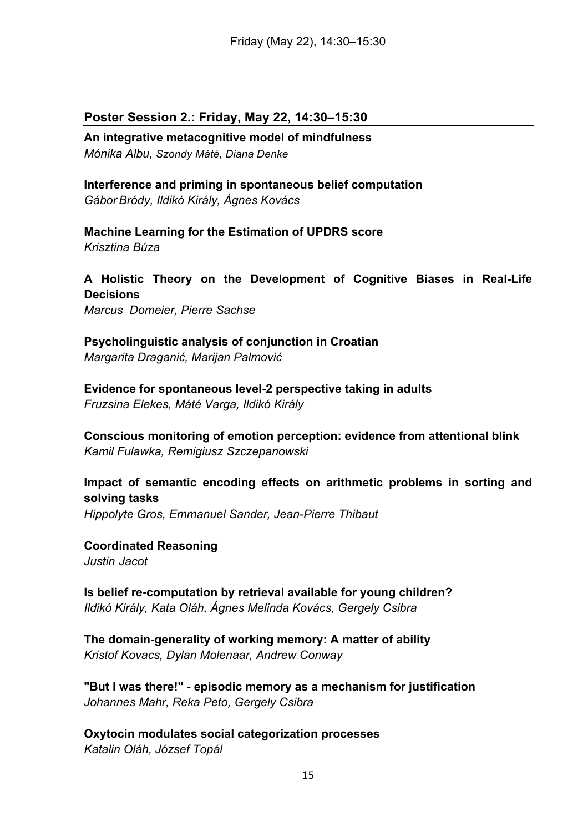#### **Poster Session 2.: Friday, May 22, 14:30–15:30**

**An integrative metacognitive model of mindfulness** *Mónika Albu, Szondy Máté, Diana Denke*

**Interference and priming in spontaneous belief computation** *Gábor Bródy, Ildikó Király, Ágnes Kovács*

**Machine Learning for the Estimation of UPDRS score** *Krisztina Búza*

**A Holistic Theory on the Development of Cognitive Biases in Real-Life Decisions** *Marcus Domeier, Pierre Sachse*

**Psycholinguistic analysis of conjunction in Croatian** *Margarita Draganić, Marijan Palmović*

**Evidence for spontaneous level-2 perspective taking in adults** *Fruzsina Elekes, Máté Varga, Ildikó Király*

**Conscious monitoring of emotion perception: evidence from attentional blink** *Kamil Fulawka, Remigiusz Szczepanowski*

**Impact of semantic encoding effects on arithmetic problems in sorting and solving tasks** *Hippolyte Gros, Emmanuel Sander, Jean-Pierre Thibaut*

**Coordinated Reasoning** *Justin Jacot*

**Is belief re-computation by retrieval available for young children?** *Ildikó Király, Kata Oláh, Ágnes Melinda Kovács, Gergely Csibra*

**The domain-generality of working memory: A matter of ability** *Kristof Kovacs, Dylan Molenaar, Andrew Conway*

**"But I was there!" - episodic memory as a mechanism for justification** *Johannes Mahr, Reka Peto, Gergely Csibra*

**Oxytocin modulates social categorization processes** *Katalin Oláh, József Topál*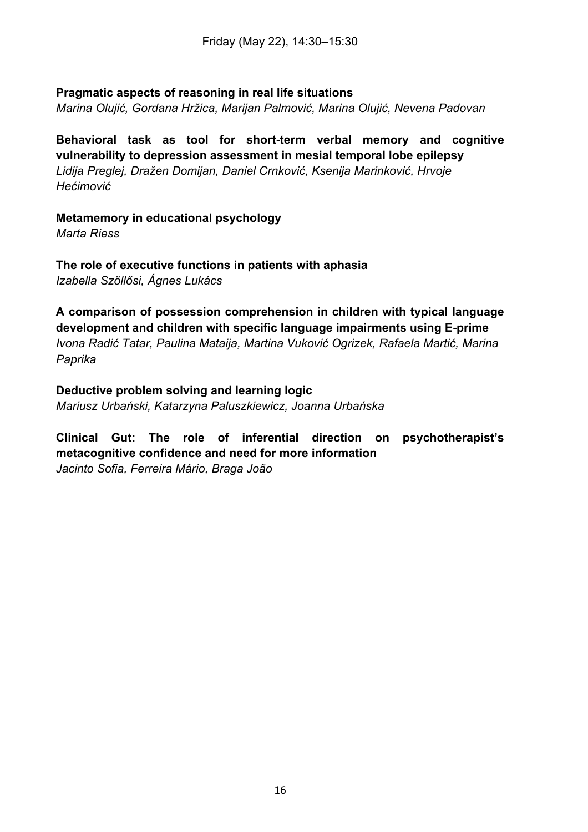#### **Pragmatic aspects of reasoning in real life situations**

*Marina Olujić, Gordana Hržica, Marijan Palmović, Marina Olujić, Nevena Padovan*

**Behavioral task as tool for short-term verbal memory and cognitive vulnerability to depression assessment in mesial temporal lobe epilepsy** *Lidija Preglej, Dražen Domijan, Daniel Crnković, Ksenija Marinković, Hrvoje Hećimović*

**Metamemory in educational psychology** *Marta Riess*

**The role of executive functions in patients with aphasia** *Izabella Szöllősi, Ágnes Lukács*

**A comparison of possession comprehension in children with typical language development and children with specific language impairments using E-prime** *Ivona Radić Tatar, Paulina Mataija, Martina Vuković Ogrizek, Rafaela Martić, Marina Paprika*

**Deductive problem solving and learning logic** *Mariusz Urbański, Katarzyna Paluszkiewicz, Joanna Urbańska*

**Clinical Gut: The role of inferential direction on psychotherapist's metacognitive confidence and need for more information** *Jacinto Sofia, Ferreira Mário, Braga João*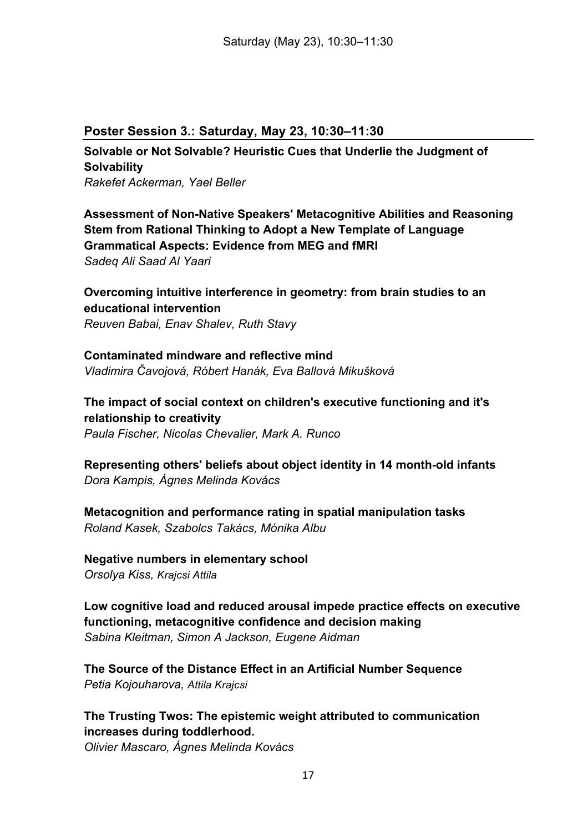#### **Poster Session 3.: Saturday, May 23, 10:30–11:30**

**Solvable or Not Solvable? Heuristic Cues that Underlie the Judgment of Solvability** *Rakefet Ackerman, Yael Beller*

**Assessment of Non-Native Speakers' Metacognitive Abilities and Reasoning Stem from Rational Thinking to Adopt a New Template of Language Grammatical Aspects: Evidence from MEG and fMRI** *Sadeq Ali Saad Al Yaari*

**Overcoming intuitive interference in geometry: from brain studies to an educational intervention** *Reuven Babai, Enav Shalev, Ruth Stavy*

**Contaminated mindware and reflective mind** *Vladimira Čavojová, Róbert Hanák, Eva Ballová Mikušková*

**The impact of social context on children's executive functioning and it's relationship to creativity** *Paula Fischer, Nicolas Chevalier, Mark A. Runco*

**Representing others' beliefs about object identity in 14 month-old infants** *Dora Kampis, Ágnes Melinda Kovács*

**Metacognition and performance rating in spatial manipulation tasks** *Roland Kasek, Szabolcs Takács, Mónika Albu*

**Negative numbers in elementary school** *Orsolya Kiss, Krajcsi Attila*

**Low cognitive load and reduced arousal impede practice effects on executive functioning, metacognitive confidence and decision making** *Sabina Kleitman, Simon A Jackson, Eugene Aidman*

**The Source of the Distance Effect in an Artificial Number Sequence** *Petia Kojouharova, Attila Krajcsi*

**The Trusting Twos: The epistemic weight attributed to communication increases during toddlerhood.**

*Olivier Mascaro, Ágnes Melinda Kovács*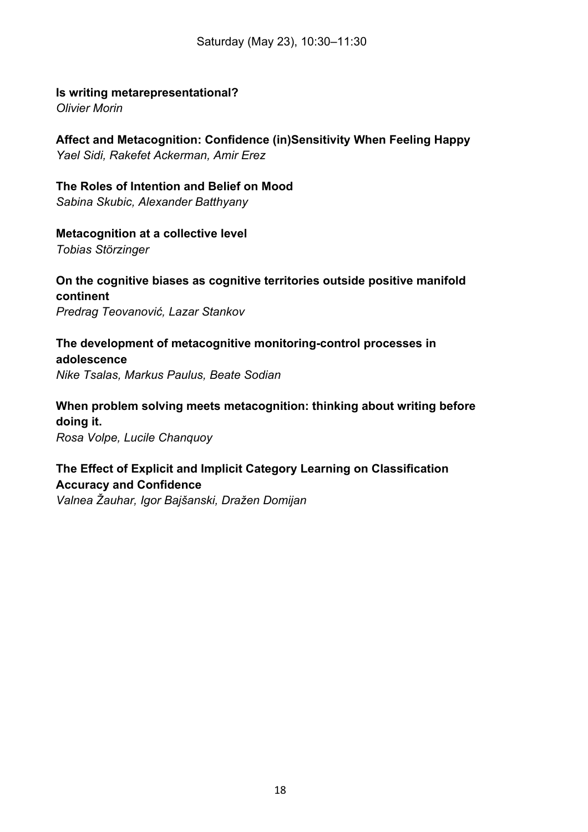#### **Is writing metarepresentational?**

*Olivier Morin*

**Affect and Metacognition: Confidence (in)Sensitivity When Feeling Happy** *Yael Sidi, Rakefet Ackerman, Amir Erez*

**The Roles of Intention and Belief on Mood** *Sabina Skubic, Alexander Batthyany*

#### **Metacognition at a collective level**

*Tobias Störzinger*

**On the cognitive biases as cognitive territories outside positive manifold continent** *Predrag Teovanović, Lazar Stankov*

**The development of metacognitive monitoring-control processes in adolescence** *Nike Tsalas, Markus Paulus, Beate Sodian*

**When problem solving meets metacognition: thinking about writing before doing it.**

*Rosa Volpe, Lucile Chanquoy*

**The Effect of Explicit and Implicit Category Learning on Classification Accuracy and Confidence** *Valnea Žauhar, Igor Bajšanski, Dražen Domijan*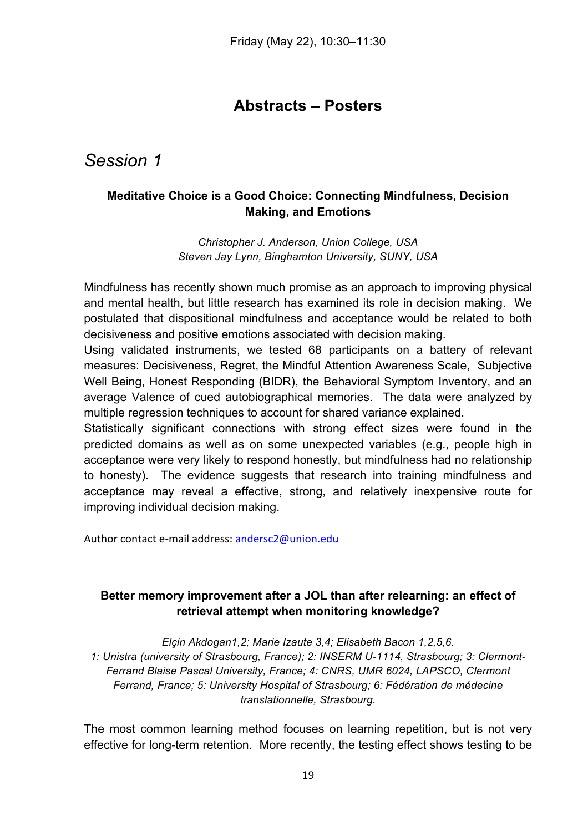# **Abstracts – Posters**

# *Session 1*

# **Meditative Choice is a Good Choice: Connecting Mindfulness, Decision Making, and Emotions**

*Christopher J. Anderson, Union College, USA Steven Jay Lynn, Binghamton University, SUNY, USA*

Mindfulness has recently shown much promise as an approach to improving physical and mental health, but little research has examined its role in decision making. We postulated that dispositional mindfulness and acceptance would be related to both decisiveness and positive emotions associated with decision making.

Using validated instruments, we tested 68 participants on a battery of relevant measures: Decisiveness, Regret, the Mindful Attention Awareness Scale, Subjective Well Being, Honest Responding (BIDR), the Behavioral Symptom Inventory, and an average Valence of cued autobiographical memories. The data were analyzed by multiple regression techniques to account for shared variance explained.

Statistically significant connections with strong effect sizes were found in the predicted domains as well as on some unexpected variables (e.g., people high in acceptance were very likely to respond honestly, but mindfulness had no relationship to honesty). The evidence suggests that research into training mindfulness and acceptance may reveal a effective, strong, and relatively inexpensive route for improving individual decision making.

Author contact e-mail address: andersc2@union.edu

# **Better memory improvement after a JOL than after relearning: an effect of retrieval attempt when monitoring knowledge?**

*Elçin Akdogan1,2; Marie Izaute 3,4; Elisabeth Bacon 1,2,5,6. 1: Unistra (university of Strasbourg, France); 2: INSERM U-1114, Strasbourg; 3: Clermont-Ferrand Blaise Pascal University, France; 4: CNRS, UMR 6024, LAPSCO, Clermont Ferrand, France; 5: University Hospital of Strasbourg; 6: Fédération de médecine translationnelle, Strasbourg.*

The most common learning method focuses on learning repetition, but is not very effective for long-term retention. More recently, the testing effect shows testing to be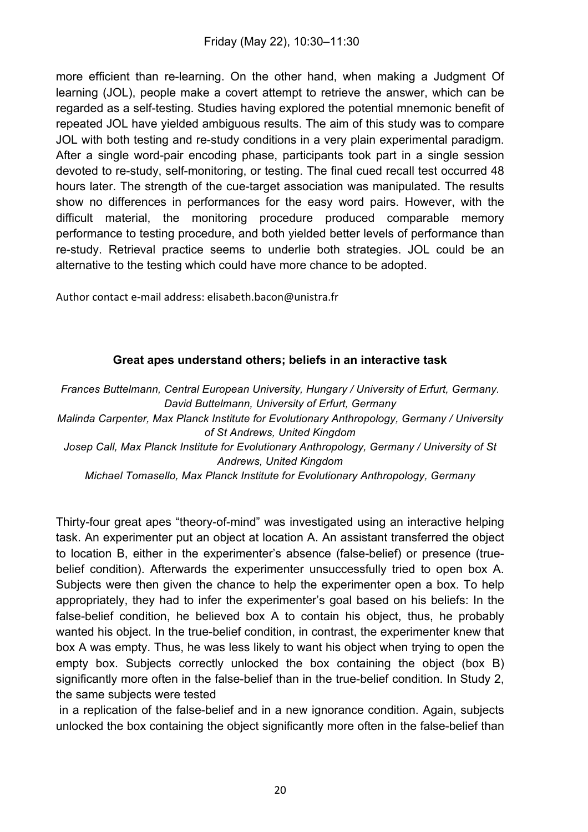more efficient than re-learning. On the other hand, when making a Judgment Of learning (JOL), people make a covert attempt to retrieve the answer, which can be regarded as a self-testing. Studies having explored the potential mnemonic benefit of repeated JOL have yielded ambiguous results. The aim of this study was to compare JOL with both testing and re-study conditions in a very plain experimental paradigm. After a single word-pair encoding phase, participants took part in a single session devoted to re-study, self-monitoring, or testing. The final cued recall test occurred 48 hours later. The strength of the cue-target association was manipulated. The results show no differences in performances for the easy word pairs. However, with the difficult material, the monitoring procedure produced comparable memory performance to testing procedure, and both yielded better levels of performance than re-study. Retrieval practice seems to underlie both strategies. JOL could be an alternative to the testing which could have more chance to be adopted.

Author contact e-mail address: elisabeth.bacon@unistra.fr

# **Great apes understand others; beliefs in an interactive task**

*Frances Buttelmann, Central European University, Hungary / University of Erfurt, Germany. David Buttelmann, University of Erfurt, Germany Malinda Carpenter, Max Planck Institute for Evolutionary Anthropology, Germany / University of St Andrews, United Kingdom Josep Call, Max Planck Institute for Evolutionary Anthropology, Germany / University of St Andrews, United Kingdom*

*Michael Tomasello, Max Planck Institute for Evolutionary Anthropology, Germany*

Thirty-four great apes "theory-of-mind" was investigated using an interactive helping task. An experimenter put an object at location A. An assistant transferred the object to location B, either in the experimenter's absence (false-belief) or presence (truebelief condition). Afterwards the experimenter unsuccessfully tried to open box A. Subjects were then given the chance to help the experimenter open a box. To help appropriately, they had to infer the experimenter's goal based on his beliefs: In the false-belief condition, he believed box A to contain his object, thus, he probably wanted his object. In the true-belief condition, in contrast, the experimenter knew that box A was empty. Thus, he was less likely to want his object when trying to open the empty box. Subjects correctly unlocked the box containing the object (box B) significantly more often in the false-belief than in the true-belief condition. In Study 2, the same subjects were tested

in a replication of the false-belief and in a new ignorance condition. Again, subjects unlocked the box containing the object significantly more often in the false-belief than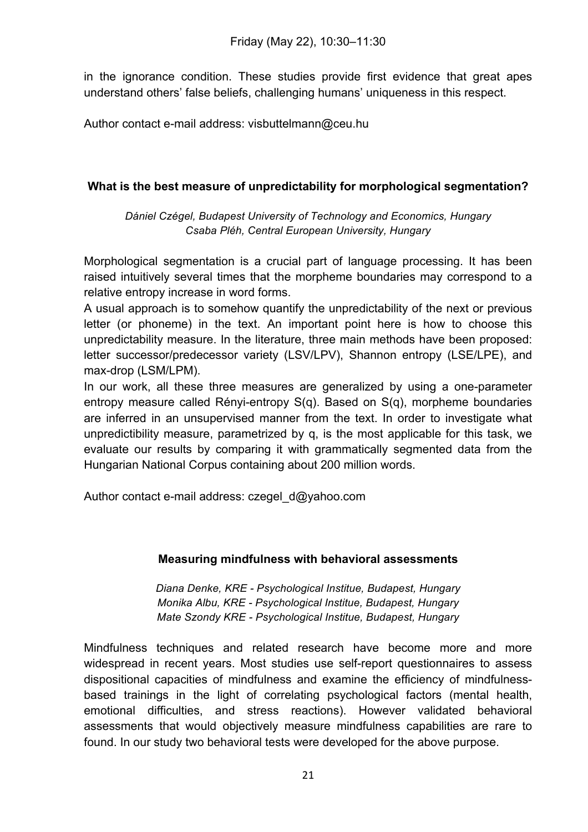in the ignorance condition. These studies provide first evidence that great apes understand others' false beliefs, challenging humans' uniqueness in this respect.

Author contact e-mail address: visbuttelmann@ceu.hu

# **What is the best measure of unpredictability for morphological segmentation?**

*Dániel Czégel, Budapest University of Technology and Economics, Hungary Csaba Pléh, Central European University, Hungary*

Morphological segmentation is a crucial part of language processing. It has been raised intuitively several times that the morpheme boundaries may correspond to a relative entropy increase in word forms.

A usual approach is to somehow quantify the unpredictability of the next or previous letter (or phoneme) in the text. An important point here is how to choose this unpredictability measure. In the literature, three main methods have been proposed: letter successor/predecessor variety (LSV/LPV), Shannon entropy (LSE/LPE), and max-drop (LSM/LPM).

In our work, all these three measures are generalized by using a one-parameter entropy measure called Rényi-entropy S(q). Based on S(q), morpheme boundaries are inferred in an unsupervised manner from the text. In order to investigate what unpredictibility measure, parametrized by q, is the most applicable for this task, we evaluate our results by comparing it with grammatically segmented data from the Hungarian National Corpus containing about 200 million words.

Author contact e-mail address: czegel\_d@yahoo.com

# **Measuring mindfulness with behavioral assessments**

*Diana Denke, KRE - Psychological Institue, Budapest, Hungary Monika Albu, KRE - Psychological Institue, Budapest, Hungary Mate Szondy KRE - Psychological Institue, Budapest, Hungary*

Mindfulness techniques and related research have become more and more widespread in recent years. Most studies use self-report questionnaires to assess dispositional capacities of mindfulness and examine the efficiency of mindfulnessbased trainings in the light of correlating psychological factors (mental health, emotional difficulties, and stress reactions). However validated behavioral assessments that would objectively measure mindfulness capabilities are rare to found. In our study two behavioral tests were developed for the above purpose.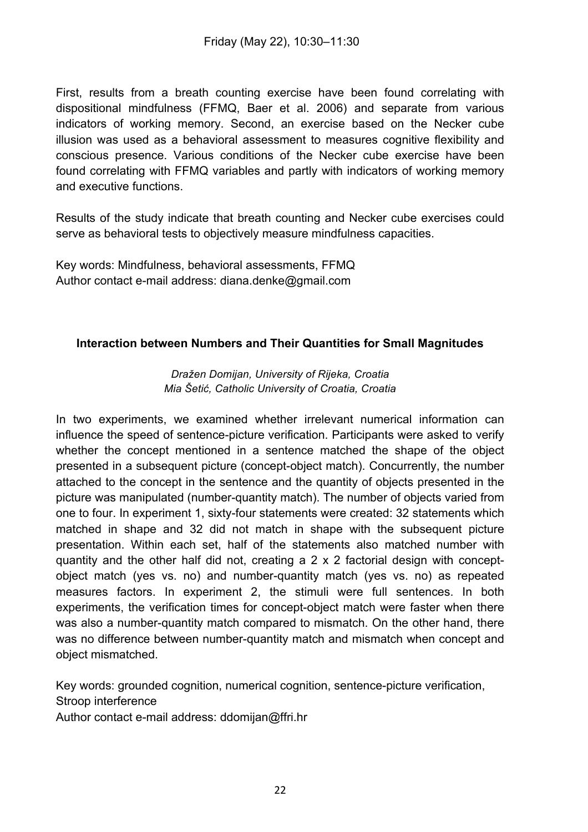First, results from a breath counting exercise have been found correlating with dispositional mindfulness (FFMQ, Baer et al. 2006) and separate from various indicators of working memory. Second, an exercise based on the Necker cube illusion was used as a behavioral assessment to measures cognitive flexibility and conscious presence. Various conditions of the Necker cube exercise have been found correlating with FFMQ variables and partly with indicators of working memory and executive functions.

Results of the study indicate that breath counting and Necker cube exercises could serve as behavioral tests to objectively measure mindfulness capacities.

Key words: Mindfulness, behavioral assessments, FFMQ Author contact e-mail address: diana.denke@gmail.com

#### **Interaction between Numbers and Their Quantities for Small Magnitudes**

#### *Dražen Domijan, University of Rijeka, Croatia Mia Šetić, Catholic University of Croatia, Croatia*

In two experiments, we examined whether irrelevant numerical information can influence the speed of sentence-picture verification. Participants were asked to verify whether the concept mentioned in a sentence matched the shape of the object presented in a subsequent picture (concept-object match). Concurrently, the number attached to the concept in the sentence and the quantity of objects presented in the picture was manipulated (number-quantity match). The number of objects varied from one to four. In experiment 1, sixty-four statements were created: 32 statements which matched in shape and 32 did not match in shape with the subsequent picture presentation. Within each set, half of the statements also matched number with quantity and the other half did not, creating a 2 x 2 factorial design with conceptobject match (yes vs. no) and number-quantity match (yes vs. no) as repeated measures factors. In experiment 2, the stimuli were full sentences. In both experiments, the verification times for concept-object match were faster when there was also a number-quantity match compared to mismatch. On the other hand, there was no difference between number-quantity match and mismatch when concept and object mismatched.

Key words: grounded cognition, numerical cognition, sentence-picture verification, Stroop interference Author contact e-mail address: ddomijan@ffri.hr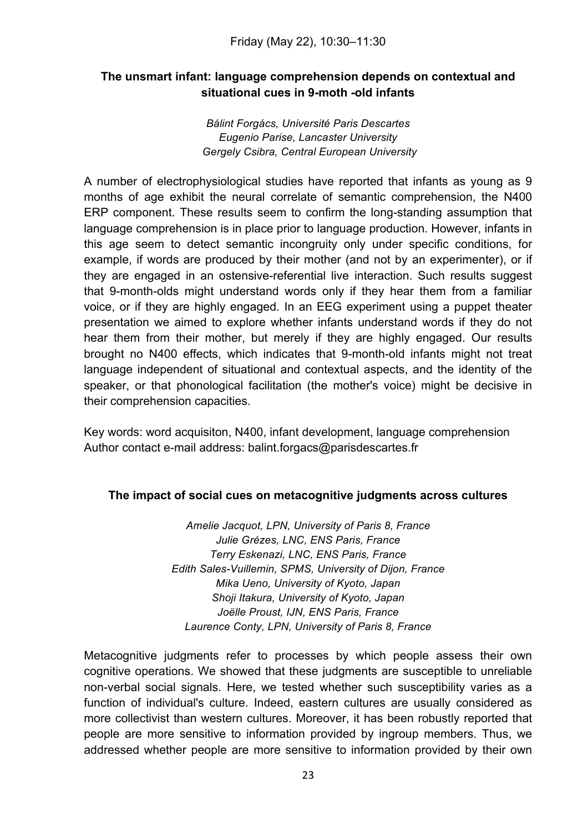# **The unsmart infant: language comprehension depends on contextual and situational cues in 9-moth -old infants**

*Bálint Forgács, Université Paris Descartes Eugenio Parise, Lancaster University Gergely Csibra, Central European University*

A number of electrophysiological studies have reported that infants as young as 9 months of age exhibit the neural correlate of semantic comprehension, the N400 ERP component. These results seem to confirm the long-standing assumption that language comprehension is in place prior to language production. However, infants in this age seem to detect semantic incongruity only under specific conditions, for example, if words are produced by their mother (and not by an experimenter), or if they are engaged in an ostensive-referential live interaction. Such results suggest that 9-month-olds might understand words only if they hear them from a familiar voice, or if they are highly engaged. In an EEG experiment using a puppet theater presentation we aimed to explore whether infants understand words if they do not hear them from their mother, but merely if they are highly engaged. Our results brought no N400 effects, which indicates that 9-month-old infants might not treat language independent of situational and contextual aspects, and the identity of the speaker, or that phonological facilitation (the mother's voice) might be decisive in their comprehension capacities.

Key words: word acquisiton, N400, infant development, language comprehension Author contact e-mail address: balint.forgacs@parisdescartes.fr

#### **The impact of social cues on metacognitive judgments across cultures**

*Amelie Jacquot, LPN, University of Paris 8, France Julie Grézes, LNC, ENS Paris, France Terry Eskenazi, LNC, ENS Paris, France Edith Sales-Vuillemin, SPMS, University of Dijon, France Mika Ueno, University of Kyoto, Japan Shoji Itakura, University of Kyoto, Japan Joëlle Proust, IJN, ENS Paris, France Laurence Conty, LPN, University of Paris 8, France*

Metacognitive judgments refer to processes by which people assess their own cognitive operations. We showed that these judgments are susceptible to unreliable non-verbal social signals. Here, we tested whether such susceptibility varies as a function of individual's culture. Indeed, eastern cultures are usually considered as more collectivist than western cultures. Moreover, it has been robustly reported that people are more sensitive to information provided by ingroup members. Thus, we addressed whether people are more sensitive to information provided by their own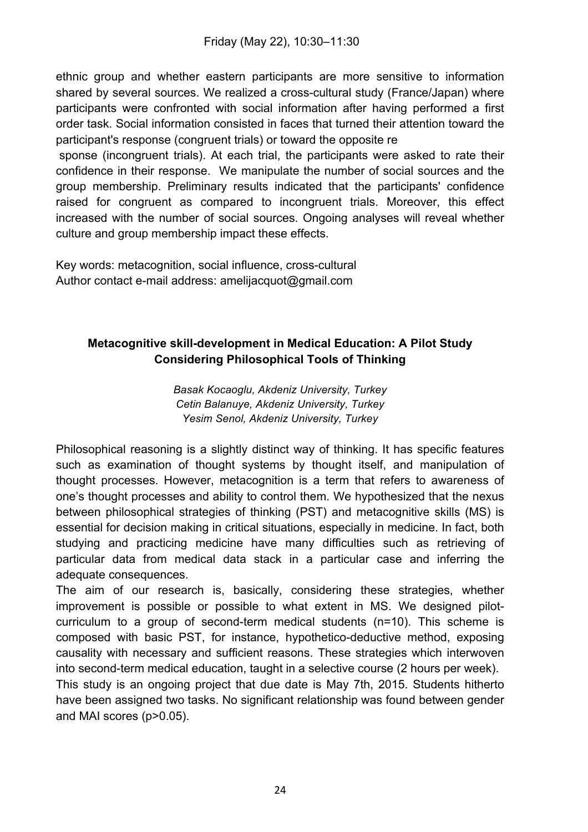ethnic group and whether eastern participants are more sensitive to information shared by several sources. We realized a cross-cultural study (France/Japan) where participants were confronted with social information after having performed a first order task. Social information consisted in faces that turned their attention toward the participant's response (congruent trials) or toward the opposite re

sponse (incongruent trials). At each trial, the participants were asked to rate their confidence in their response. We manipulate the number of social sources and the group membership. Preliminary results indicated that the participants' confidence raised for congruent as compared to incongruent trials. Moreover, this effect increased with the number of social sources. Ongoing analyses will reveal whether culture and group membership impact these effects.

Key words: metacognition, social influence, cross-cultural Author contact e-mail address: amelijacquot@gmail.com

# **Metacognitive skill-development in Medical Education: A Pilot Study Considering Philosophical Tools of Thinking**

*Basak Kocaoglu, Akdeniz University, Turkey Cetin Balanuye, Akdeniz University, Turkey Yesim Senol, Akdeniz University, Turkey*

Philosophical reasoning is a slightly distinct way of thinking. It has specific features such as examination of thought systems by thought itself, and manipulation of thought processes. However, metacognition is a term that refers to awareness of one's thought processes and ability to control them. We hypothesized that the nexus between philosophical strategies of thinking (PST) and metacognitive skills (MS) is essential for decision making in critical situations, especially in medicine. In fact, both studying and practicing medicine have many difficulties such as retrieving of particular data from medical data stack in a particular case and inferring the adequate consequences.

The aim of our research is, basically, considering these strategies, whether improvement is possible or possible to what extent in MS. We designed pilotcurriculum to a group of second-term medical students (n=10). This scheme is composed with basic PST, for instance, hypothetico-deductive method, exposing causality with necessary and sufficient reasons. These strategies which interwoven into second-term medical education, taught in a selective course (2 hours per week).

This study is an ongoing project that due date is May 7th, 2015. Students hitherto have been assigned two tasks. No significant relationship was found between gender and MAI scores (p>0.05).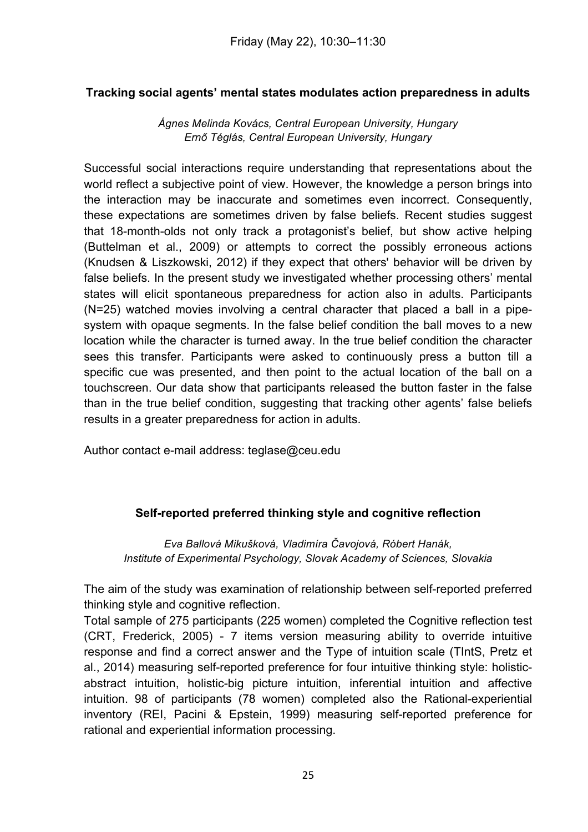# **Tracking social agents' mental states modulates action preparedness in adults**

*Ágnes Melinda Kovács, Central European University, Hungary Ernő Téglás, Central European University, Hungary*

Successful social interactions require understanding that representations about the world reflect a subjective point of view. However, the knowledge a person brings into the interaction may be inaccurate and sometimes even incorrect. Consequently, these expectations are sometimes driven by false beliefs. Recent studies suggest that 18-month-olds not only track a protagonist's belief, but show active helping (Buttelman et al., 2009) or attempts to correct the possibly erroneous actions (Knudsen & Liszkowski, 2012) if they expect that others' behavior will be driven by false beliefs. In the present study we investigated whether processing others' mental states will elicit spontaneous preparedness for action also in adults. Participants (N=25) watched movies involving a central character that placed a ball in a pipesystem with opaque segments. In the false belief condition the ball moves to a new location while the character is turned away. In the true belief condition the character sees this transfer. Participants were asked to continuously press a button till a specific cue was presented, and then point to the actual location of the ball on a touchscreen. Our data show that participants released the button faster in the false than in the true belief condition, suggesting that tracking other agents' false beliefs results in a greater preparedness for action in adults.

Author contact e-mail address: teglase@ceu.edu

#### **Self-reported preferred thinking style and cognitive reflection**

*Eva Ballová Mikušková, Vladimíra Čavojová, Róbert Hanák, Institute of Experimental Psychology, Slovak Academy of Sciences, Slovakia*

The aim of the study was examination of relationship between self-reported preferred thinking style and cognitive reflection.

Total sample of 275 participants (225 women) completed the Cognitive reflection test (CRT, Frederick, 2005) - 7 items version measuring ability to override intuitive response and find a correct answer and the Type of intuition scale (TIntS, Pretz et al., 2014) measuring self-reported preference for four intuitive thinking style: holisticabstract intuition, holistic-big picture intuition, inferential intuition and affective intuition. 98 of participants (78 women) completed also the Rational-experiential inventory (REI, Pacini & Epstein, 1999) measuring self-reported preference for rational and experiential information processing.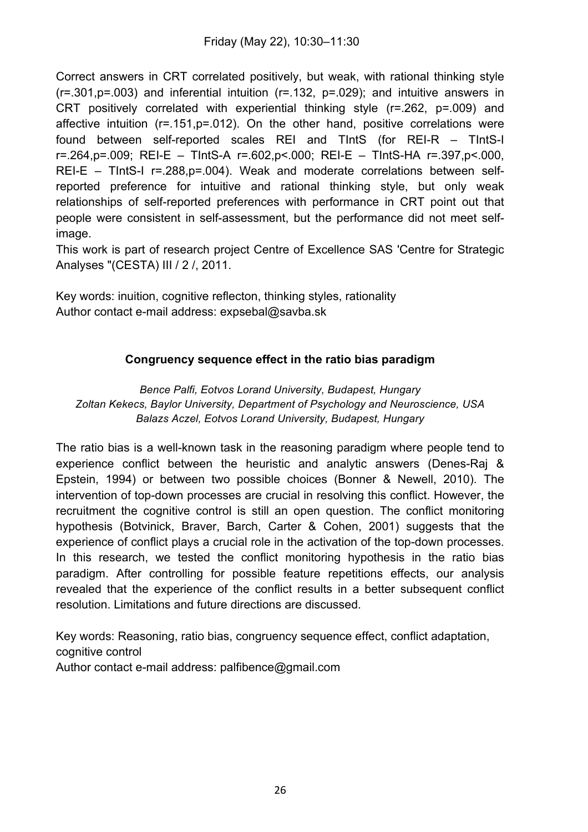Correct answers in CRT correlated positively, but weak, with rational thinking style  $(r=.301,p=.003)$  and inferential intuition  $(r=.132, p=.029)$ ; and intuitive answers in CRT positively correlated with experiential thinking style (r=.262, p=.009) and affective intuition (r=.151,p=.012). On the other hand, positive correlations were found between self-reported scales REI and TIntS (for REI-R – TIntS-I r=.264,p=.009; REI-E – TIntS-A r=.602,p<.000; REI-E – TIntS-HA r=.397,p<.000, REI-E – TIntS-I r=.288,p=.004). Weak and moderate correlations between selfreported preference for intuitive and rational thinking style, but only weak relationships of self-reported preferences with performance in CRT point out that people were consistent in self-assessment, but the performance did not meet selfimage.

This work is part of research project Centre of Excellence SAS 'Centre for Strategic Analyses "(CESTA) III / 2 /, 2011.

Key words: inuition, cognitive reflecton, thinking styles, rationality Author contact e-mail address: expsebal@savba.sk

# **Congruency sequence effect in the ratio bias paradigm**

*Bence Palfi, Eotvos Lorand University, Budapest, Hungary Zoltan Kekecs, Baylor University, Department of Psychology and Neuroscience, USA Balazs Aczel, Eotvos Lorand University, Budapest, Hungary*

The ratio bias is a well-known task in the reasoning paradigm where people tend to experience conflict between the heuristic and analytic answers (Denes-Raj & Epstein, 1994) or between two possible choices (Bonner & Newell, 2010). The intervention of top-down processes are crucial in resolving this conflict. However, the recruitment the cognitive control is still an open question. The conflict monitoring hypothesis (Botvinick, Braver, Barch, Carter & Cohen, 2001) suggests that the experience of conflict plays a crucial role in the activation of the top-down processes. In this research, we tested the conflict monitoring hypothesis in the ratio bias paradigm. After controlling for possible feature repetitions effects, our analysis revealed that the experience of the conflict results in a better subsequent conflict resolution. Limitations and future directions are discussed.

Key words: Reasoning, ratio bias, congruency sequence effect, conflict adaptation, cognitive control Author contact e-mail address: palfibence@gmail.com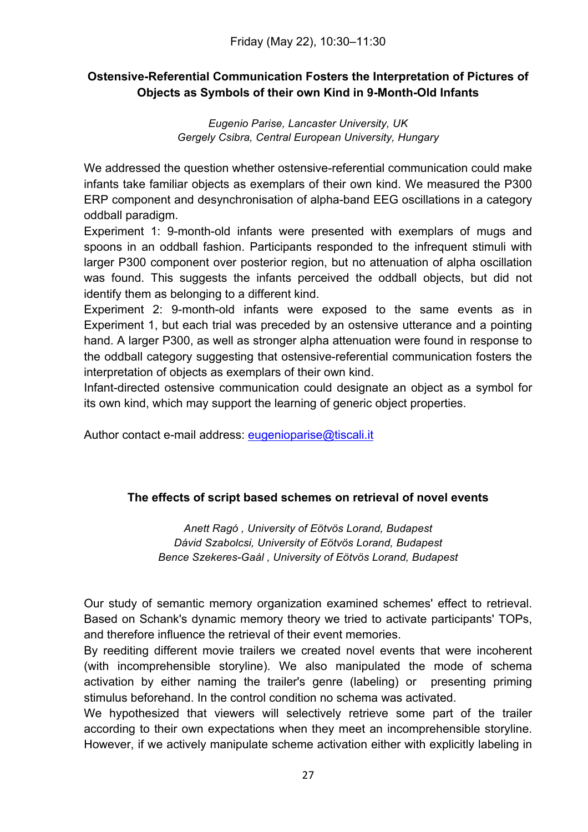# **Ostensive-Referential Communication Fosters the Interpretation of Pictures of Objects as Symbols of their own Kind in 9-Month-Old Infants**

*Eugenio Parise, Lancaster University, UK Gergely Csibra, Central European University, Hungary*

We addressed the question whether ostensive-referential communication could make infants take familiar objects as exemplars of their own kind. We measured the P300 ERP component and desynchronisation of alpha-band EEG oscillations in a category oddball paradigm.

Experiment 1: 9-month-old infants were presented with exemplars of mugs and spoons in an oddball fashion. Participants responded to the infrequent stimuli with larger P300 component over posterior region, but no attenuation of alpha oscillation was found. This suggests the infants perceived the oddball objects, but did not identify them as belonging to a different kind.

Experiment 2: 9-month-old infants were exposed to the same events as in Experiment 1, but each trial was preceded by an ostensive utterance and a pointing hand. A larger P300, as well as stronger alpha attenuation were found in response to the oddball category suggesting that ostensive-referential communication fosters the interpretation of objects as exemplars of their own kind.

Infant-directed ostensive communication could designate an object as a symbol for its own kind, which may support the learning of generic object properties.

Author contact e-mail address: eugenioparise@tiscali.it

# **The effects of script based schemes on retrieval of novel events**

*Anett Ragó , University of Eötvös Lorand, Budapest Dávid Szabolcsi, University of Eötvös Lorand, Budapest Bence Szekeres-Gaál , University of Eötvös Lorand, Budapest*

Our study of semantic memory organization examined schemes' effect to retrieval. Based on Schank's dynamic memory theory we tried to activate participants' TOPs, and therefore influence the retrieval of their event memories.

By reediting different movie trailers we created novel events that were incoherent (with incomprehensible storyline). We also manipulated the mode of schema activation by either naming the trailer's genre (labeling) or presenting priming stimulus beforehand. In the control condition no schema was activated.

We hypothesized that viewers will selectively retrieve some part of the trailer according to their own expectations when they meet an incomprehensible storyline. However, if we actively manipulate scheme activation either with explicitly labeling in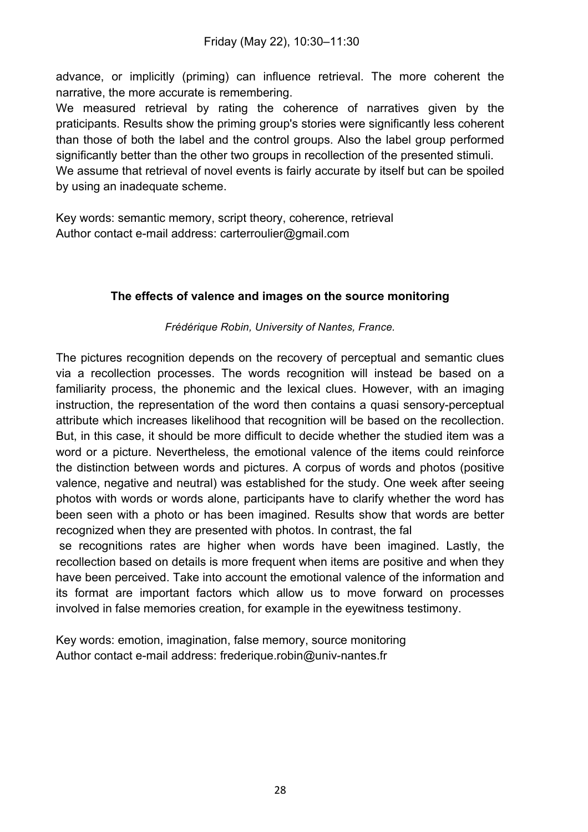advance, or implicitly (priming) can influence retrieval. The more coherent the narrative, the more accurate is remembering.

We measured retrieval by rating the coherence of narratives given by the praticipants. Results show the priming group's stories were significantly less coherent than those of both the label and the control groups. Also the label group performed significantly better than the other two groups in recollection of the presented stimuli. We assume that retrieval of novel events is fairly accurate by itself but can be spoiled by using an inadequate scheme.

Key words: semantic memory, script theory, coherence, retrieval Author contact e-mail address: carterroulier@gmail.com

# **The effects of valence and images on the source monitoring**

*Frédérique Robin, University of Nantes, France.*

The pictures recognition depends on the recovery of perceptual and semantic clues via a recollection processes. The words recognition will instead be based on a familiarity process, the phonemic and the lexical clues. However, with an imaging instruction, the representation of the word then contains a quasi sensory-perceptual attribute which increases likelihood that recognition will be based on the recollection. But, in this case, it should be more difficult to decide whether the studied item was a word or a picture. Nevertheless, the emotional valence of the items could reinforce the distinction between words and pictures. A corpus of words and photos (positive valence, negative and neutral) was established for the study. One week after seeing photos with words or words alone, participants have to clarify whether the word has been seen with a photo or has been imagined. Results show that words are better recognized when they are presented with photos. In contrast, the fal

se recognitions rates are higher when words have been imagined. Lastly, the recollection based on details is more frequent when items are positive and when they have been perceived. Take into account the emotional valence of the information and its format are important factors which allow us to move forward on processes involved in false memories creation, for example in the eyewitness testimony.

Key words: emotion, imagination, false memory, source monitoring Author contact e-mail address: frederique.robin@univ-nantes.fr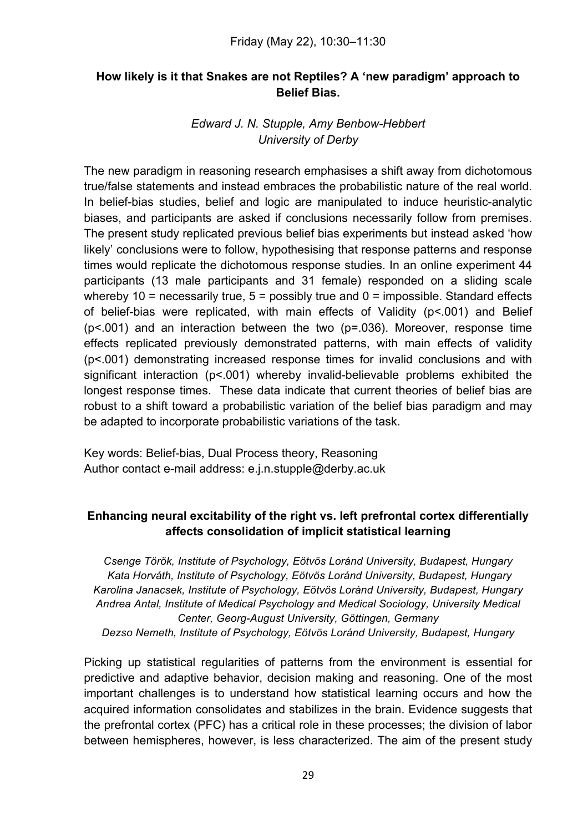# **How likely is it that Snakes are not Reptiles? A 'new paradigm' approach to Belief Bias.**

#### *Edward J. N. Stupple, Amy Benbow-Hebbert University of Derby*

The new paradigm in reasoning research emphasises a shift away from dichotomous true/false statements and instead embraces the probabilistic nature of the real world. In belief-bias studies, belief and logic are manipulated to induce heuristic-analytic biases, and participants are asked if conclusions necessarily follow from premises. The present study replicated previous belief bias experiments but instead asked 'how likely' conclusions were to follow, hypothesising that response patterns and response times would replicate the dichotomous response studies. In an online experiment 44 participants (13 male participants and 31 female) responded on a sliding scale whereby 10 = necessarily true,  $5 =$  possibly true and  $0 =$  impossible. Standard effects of belief-bias were replicated, with main effects of Validity (p<.001) and Belief  $(p< .001)$  and an interaction between the two  $(p=.036)$ . Moreover, response time effects replicated previously demonstrated patterns, with main effects of validity (p<.001) demonstrating increased response times for invalid conclusions and with significant interaction (p<.001) whereby invalid-believable problems exhibited the longest response times. These data indicate that current theories of belief bias are robust to a shift toward a probabilistic variation of the belief bias paradigm and may be adapted to incorporate probabilistic variations of the task.

Key words: Belief-bias, Dual Process theory, Reasoning Author contact e-mail address: e.j.n.stupple@derby.ac.uk

# **Enhancing neural excitability of the right vs. left prefrontal cortex differentially affects consolidation of implicit statistical learning**

*Csenge Török, Institute of Psychology, Eötvös Loránd University, Budapest, Hungary Kata Horváth, Institute of Psychology, Eötvös Loránd University, Budapest, Hungary Karolina Janacsek, Institute of Psychology, Eötvös Loránd University, Budapest, Hungary Andrea Antal, Institute of Medical Psychology and Medical Sociology, University Medical Center, Georg-August University, Göttingen, Germany Dezso Nemeth, Institute of Psychology, Eötvös Loránd University, Budapest, Hungary*

Picking up statistical regularities of patterns from the environment is essential for predictive and adaptive behavior, decision making and reasoning. One of the most important challenges is to understand how statistical learning occurs and how the acquired information consolidates and stabilizes in the brain. Evidence suggests that the prefrontal cortex (PFC) has a critical role in these processes; the division of labor between hemispheres, however, is less characterized. The aim of the present study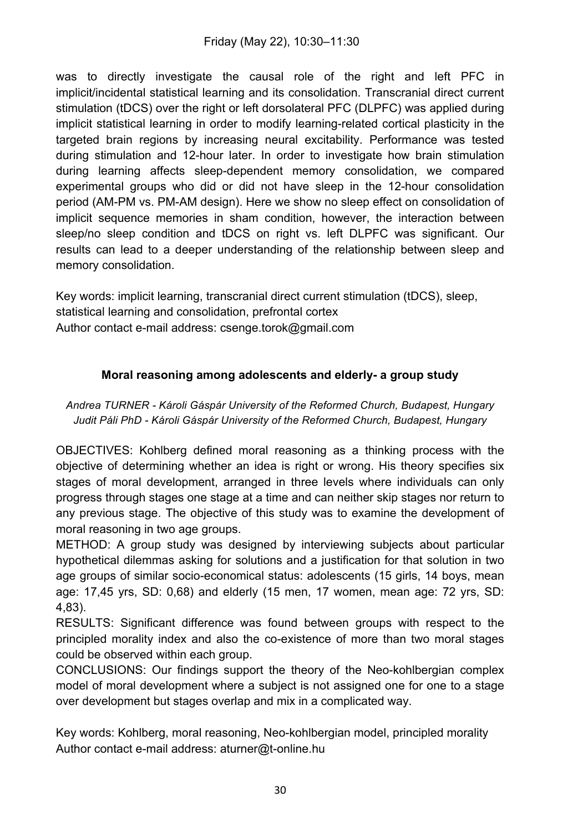was to directly investigate the causal role of the right and left PFC in implicit/incidental statistical learning and its consolidation. Transcranial direct current stimulation (tDCS) over the right or left dorsolateral PFC (DLPFC) was applied during implicit statistical learning in order to modify learning-related cortical plasticity in the targeted brain regions by increasing neural excitability. Performance was tested during stimulation and 12-hour later. In order to investigate how brain stimulation during learning affects sleep-dependent memory consolidation, we compared experimental groups who did or did not have sleep in the 12-hour consolidation period (AM-PM vs. PM-AM design). Here we show no sleep effect on consolidation of implicit sequence memories in sham condition, however, the interaction between sleep/no sleep condition and tDCS on right vs. left DLPFC was significant. Our results can lead to a deeper understanding of the relationship between sleep and memory consolidation.

Key words: implicit learning, transcranial direct current stimulation (tDCS), sleep, statistical learning and consolidation, prefrontal cortex Author contact e-mail address: csenge.torok@gmail.com

# **Moral reasoning among adolescents and elderly- a group study**

*Andrea TURNER - Károli Gáspár University of the Reformed Church, Budapest, Hungary Judit Páli PhD - Károli Gáspár University of the Reformed Church, Budapest, Hungary*

OBJECTIVES: Kohlberg defined moral reasoning as a thinking process with the objective of determining whether an idea is right or wrong. His theory specifies six stages of moral development, arranged in three levels where individuals can only progress through stages one stage at a time and can neither skip stages nor return to any previous stage. The objective of this study was to examine the development of moral reasoning in two age groups.

METHOD: A group study was designed by interviewing subjects about particular hypothetical dilemmas asking for solutions and a justification for that solution in two age groups of similar socio-economical status: adolescents (15 girls, 14 boys, mean age: 17,45 yrs, SD: 0,68) and elderly (15 men, 17 women, mean age: 72 yrs, SD: 4,83).

RESULTS: Significant difference was found between groups with respect to the principled morality index and also the co-existence of more than two moral stages could be observed within each group.

CONCLUSIONS: Our findings support the theory of the Neo-kohlbergian complex model of moral development where a subject is not assigned one for one to a stage over development but stages overlap and mix in a complicated way.

Key words: Kohlberg, moral reasoning, Neo-kohlbergian model, principled morality Author contact e-mail address: aturner@t-online.hu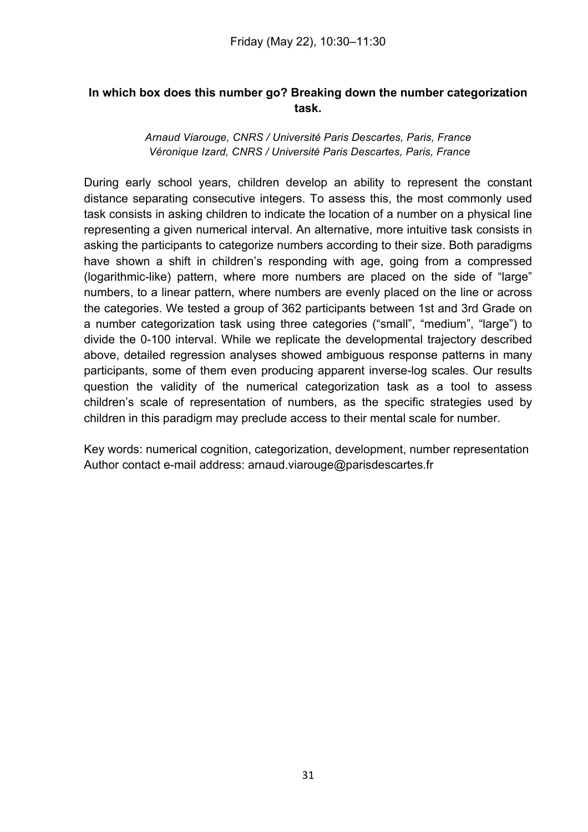#### **In which box does this number go? Breaking down the number categorization task.**

#### *Arnaud Viarouge, CNRS / Université Paris Descartes, Paris, France Véronique Izard, CNRS / Université Paris Descartes, Paris, France*

During early school years, children develop an ability to represent the constant distance separating consecutive integers. To assess this, the most commonly used task consists in asking children to indicate the location of a number on a physical line representing a given numerical interval. An alternative, more intuitive task consists in asking the participants to categorize numbers according to their size. Both paradigms have shown a shift in children's responding with age, going from a compressed (logarithmic-like) pattern, where more numbers are placed on the side of "large" numbers, to a linear pattern, where numbers are evenly placed on the line or across the categories. We tested a group of 362 participants between 1st and 3rd Grade on a number categorization task using three categories ("small", "medium", "large") to divide the 0-100 interval. While we replicate the developmental trajectory described above, detailed regression analyses showed ambiguous response patterns in many participants, some of them even producing apparent inverse-log scales. Our results question the validity of the numerical categorization task as a tool to assess children's scale of representation of numbers, as the specific strategies used by children in this paradigm may preclude access to their mental scale for number.

Key words: numerical cognition, categorization, development, number representation Author contact e-mail address: arnaud.viarouge@parisdescartes.fr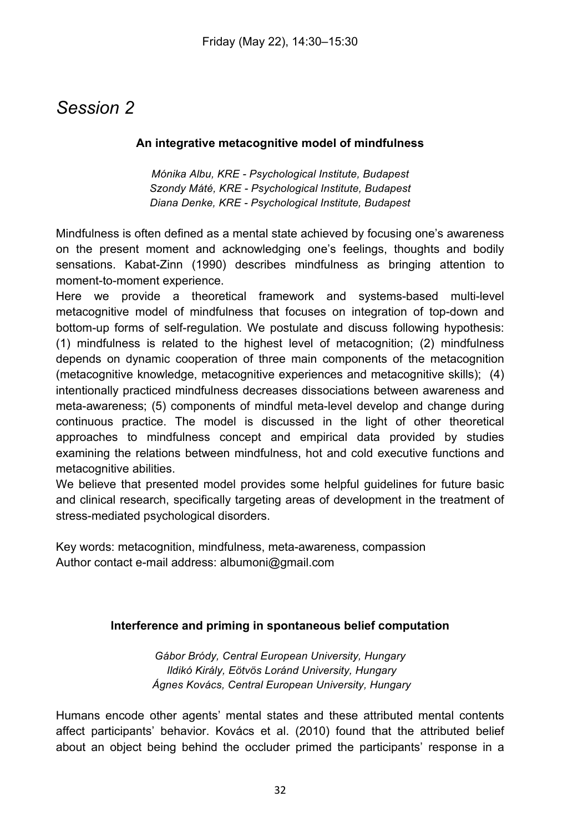# *Session 2*

#### **An integrative metacognitive model of mindfulness**

*Mónika Albu, KRE - Psychological Institute, Budapest Szondy Máté, KRE - Psychological Institute, Budapest Diana Denke, KRE - Psychological Institute, Budapest*

Mindfulness is often defined as a mental state achieved by focusing one's awareness on the present moment and acknowledging one's feelings, thoughts and bodily sensations. Kabat-Zinn (1990) describes mindfulness as bringing attention to moment-to-moment experience.

Here we provide a theoretical framework and systems-based multi-level metacognitive model of mindfulness that focuses on integration of top-down and bottom-up forms of self-regulation. We postulate and discuss following hypothesis: (1) mindfulness is related to the highest level of metacognition; (2) mindfulness depends on dynamic cooperation of three main components of the metacognition (metacognitive knowledge, metacognitive experiences and metacognitive skills); (4) intentionally practiced mindfulness decreases dissociations between awareness and meta-awareness; (5) components of mindful meta-level develop and change during continuous practice. The model is discussed in the light of other theoretical approaches to mindfulness concept and empirical data provided by studies examining the relations between mindfulness, hot and cold executive functions and metacognitive abilities.

We believe that presented model provides some helpful guidelines for future basic and clinical research, specifically targeting areas of development in the treatment of stress-mediated psychological disorders.

Key words: metacognition, mindfulness, meta-awareness, compassion Author contact e-mail address: albumoni@gmail.com

#### **Interference and priming in spontaneous belief computation**

*Gábor Bródy, Central European University, Hungary Ildikó Király, Eötvös Loránd University, Hungary Ágnes Kovács, Central European University, Hungary*

Humans encode other agents' mental states and these attributed mental contents affect participants' behavior. Kovács et al. (2010) found that the attributed belief about an object being behind the occluder primed the participants' response in a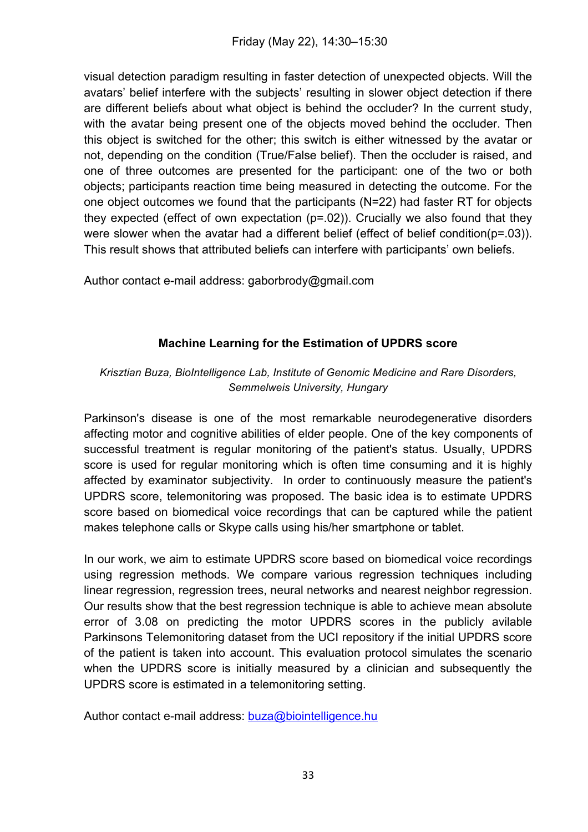visual detection paradigm resulting in faster detection of unexpected objects. Will the avatars' belief interfere with the subjects' resulting in slower object detection if there are different beliefs about what object is behind the occluder? In the current study, with the avatar being present one of the objects moved behind the occluder. Then this object is switched for the other; this switch is either witnessed by the avatar or not, depending on the condition (True/False belief). Then the occluder is raised, and one of three outcomes are presented for the participant: one of the two or both objects; participants reaction time being measured in detecting the outcome. For the one object outcomes we found that the participants (N=22) had faster RT for objects they expected (effect of own expectation (p=.02)). Crucially we also found that they were slower when the avatar had a different belief (effect of belief condition(p=.03)). This result shows that attributed beliefs can interfere with participants' own beliefs.

Author contact e-mail address: gaborbrody@gmail.com

# **Machine Learning for the Estimation of UPDRS score**

#### *Krisztian Buza, BioIntelligence Lab, Institute of Genomic Medicine and Rare Disorders, Semmelweis University, Hungary*

Parkinson's disease is one of the most remarkable neurodegenerative disorders affecting motor and cognitive abilities of elder people. One of the key components of successful treatment is regular monitoring of the patient's status. Usually, UPDRS score is used for regular monitoring which is often time consuming and it is highly affected by examinator subjectivity. In order to continuously measure the patient's UPDRS score, telemonitoring was proposed. The basic idea is to estimate UPDRS score based on biomedical voice recordings that can be captured while the patient makes telephone calls or Skype calls using his/her smartphone or tablet.

In our work, we aim to estimate UPDRS score based on biomedical voice recordings using regression methods. We compare various regression techniques including linear regression, regression trees, neural networks and nearest neighbor regression. Our results show that the best regression technique is able to achieve mean absolute error of 3.08 on predicting the motor UPDRS scores in the publicly avilable Parkinsons Telemonitoring dataset from the UCI repository if the initial UPDRS score of the patient is taken into account. This evaluation protocol simulates the scenario when the UPDRS score is initially measured by a clinician and subsequently the UPDRS score is estimated in a telemonitoring setting.

Author contact e-mail address: buza@biointelligence.hu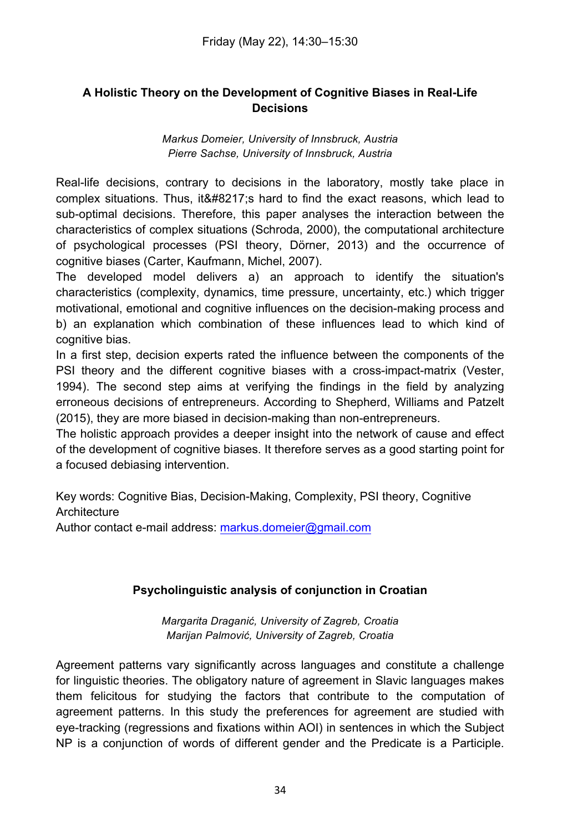# **A Holistic Theory on the Development of Cognitive Biases in Real-Life Decisions**

*Markus Domeier, University of Innsbruck, Austria Pierre Sachse, University of Innsbruck, Austria*

Real-life decisions, contrary to decisions in the laboratory, mostly take place in complex situations. Thus, it ' shard to find the exact reasons, which lead to sub-optimal decisions. Therefore, this paper analyses the interaction between the characteristics of complex situations (Schroda, 2000), the computational architecture of psychological processes (PSI theory, Dörner, 2013) and the occurrence of cognitive biases (Carter, Kaufmann, Michel, 2007).

The developed model delivers a) an approach to identify the situation's characteristics (complexity, dynamics, time pressure, uncertainty, etc.) which trigger motivational, emotional and cognitive influences on the decision-making process and b) an explanation which combination of these influences lead to which kind of cognitive bias.

In a first step, decision experts rated the influence between the components of the PSI theory and the different cognitive biases with a cross-impact-matrix (Vester, 1994). The second step aims at verifying the findings in the field by analyzing erroneous decisions of entrepreneurs. According to Shepherd, Williams and Patzelt (2015), they are more biased in decision-making than non-entrepreneurs.

The holistic approach provides a deeper insight into the network of cause and effect of the development of cognitive biases. It therefore serves as a good starting point for a focused debiasing intervention.

Key words: Cognitive Bias, Decision-Making, Complexity, PSI theory, Cognitive **Architecture** 

Author contact e-mail address: markus.domeier@gmail.com

# **Psycholinguistic analysis of conjunction in Croatian**

*Margarita Draganić, University of Zagreb, Croatia Marijan Palmović, University of Zagreb, Croatia*

Agreement patterns vary significantly across languages and constitute a challenge for linguistic theories. The obligatory nature of agreement in Slavic languages makes them felicitous for studying the factors that contribute to the computation of agreement patterns. In this study the preferences for agreement are studied with eye-tracking (regressions and fixations within AOI) in sentences in which the Subject NP is a conjunction of words of different gender and the Predicate is a Participle.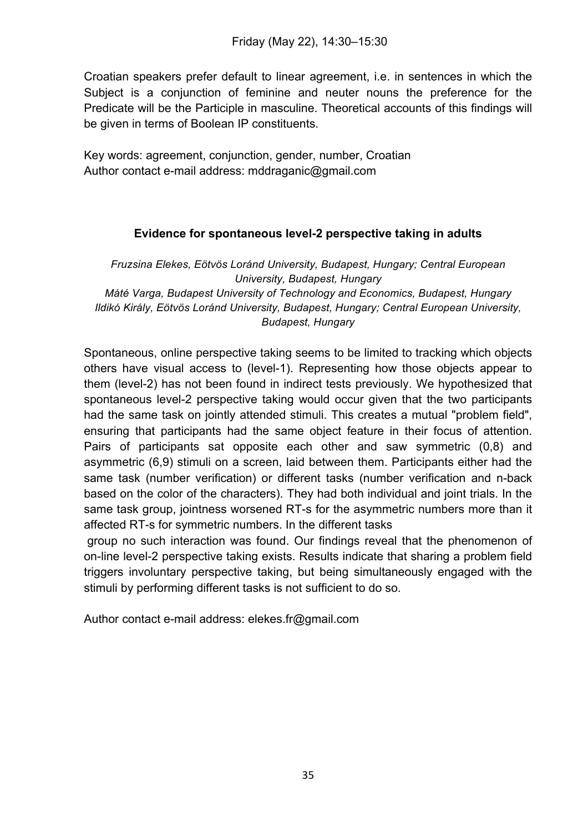Croatian speakers prefer default to linear agreement, i.e. in sentences in which the Subject is a conjunction of feminine and neuter nouns the preference for the Predicate will be the Participle in masculine. Theoretical accounts of this findings will be given in terms of Boolean IP constituents.

Key words: agreement, conjunction, gender, number, Croatian Author contact e-mail address: mddraganic@gmail.com

# **Evidence for spontaneous level-2 perspective taking in adults**

*Fruzsina Elekes, Eötvös Loránd University, Budapest, Hungary; Central European University, Budapest, Hungary Máté Varga, Budapest University of Technology and Economics, Budapest, Hungary Ildikó Király, Eötvös Loránd University, Budapest, Hungary; Central European University, Budapest, Hungary*

Spontaneous, online perspective taking seems to be limited to tracking which objects others have visual access to (level-1). Representing how those objects appear to them (level-2) has not been found in indirect tests previously. We hypothesized that spontaneous level-2 perspective taking would occur given that the two participants had the same task on jointly attended stimuli. This creates a mutual "problem field", ensuring that participants had the same object feature in their focus of attention. Pairs of participants sat opposite each other and saw symmetric (0,8) and asymmetric (6,9) stimuli on a screen, laid between them. Participants either had the same task (number verification) or different tasks (number verification and n-back based on the color of the characters). They had both individual and joint trials. In the same task group, jointness worsened RT-s for the asymmetric numbers more than it affected RT-s for symmetric numbers. In the different tasks

group no such interaction was found. Our findings reveal that the phenomenon of on-line level-2 perspective taking exists. Results indicate that sharing a problem field triggers involuntary perspective taking, but being simultaneously engaged with the stimuli by performing different tasks is not sufficient to do so.

Author contact e-mail address: elekes.fr@gmail.com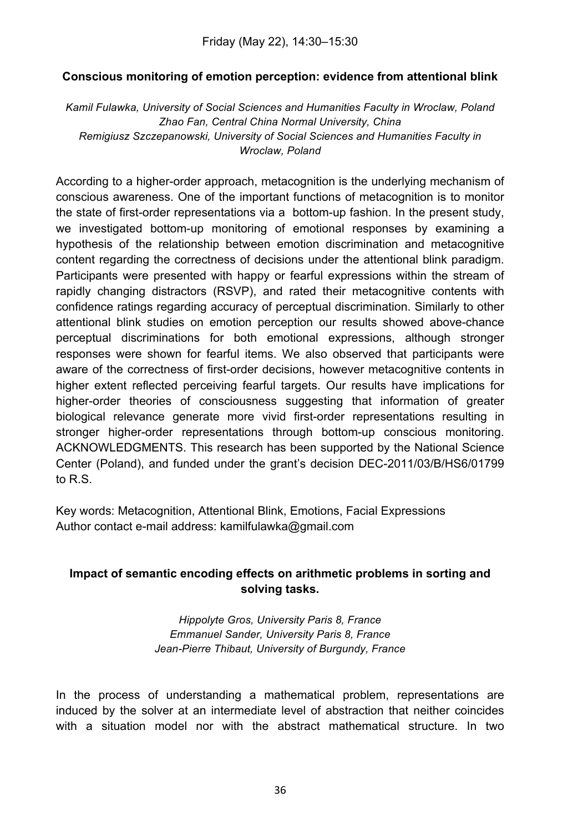# **Conscious monitoring of emotion perception: evidence from attentional blink**

*Kamil Fulawka, University of Social Sciences and Humanities Faculty in Wroclaw, Poland Zhao Fan, Central China Normal University, China Remigiusz Szczepanowski, University of Social Sciences and Humanities Faculty in Wroclaw, Poland*

According to a higher-order approach, metacognition is the underlying mechanism of conscious awareness. One of the important functions of metacognition is to monitor the state of first-order representations via a bottom-up fashion. In the present study, we investigated bottom-up monitoring of emotional responses by examining a hypothesis of the relationship between emotion discrimination and metacognitive content regarding the correctness of decisions under the attentional blink paradigm. Participants were presented with happy or fearful expressions within the stream of rapidly changing distractors (RSVP), and rated their metacognitive contents with confidence ratings regarding accuracy of perceptual discrimination. Similarly to other attentional blink studies on emotion perception our results showed above-chance perceptual discriminations for both emotional expressions, although stronger responses were shown for fearful items. We also observed that participants were aware of the correctness of first-order decisions, however metacognitive contents in higher extent reflected perceiving fearful targets. Our results have implications for higher-order theories of consciousness suggesting that information of greater biological relevance generate more vivid first-order representations resulting in stronger higher-order representations through bottom-up conscious monitoring. ACKNOWLEDGMENTS. This research has been supported by the National Science Center (Poland), and funded under the grant's decision DEC-2011/03/B/HS6/01799 to R.S.

Key words: Metacognition, Attentional Blink, Emotions, Facial Expressions Author contact e-mail address: kamilfulawka@gmail.com

# **Impact of semantic encoding effects on arithmetic problems in sorting and solving tasks.**

*Hippolyte Gros, University Paris 8, France Emmanuel Sander, University Paris 8, France Jean-Pierre Thibaut, University of Burgundy, France*

In the process of understanding a mathematical problem, representations are induced by the solver at an intermediate level of abstraction that neither coincides with a situation model nor with the abstract mathematical structure. In two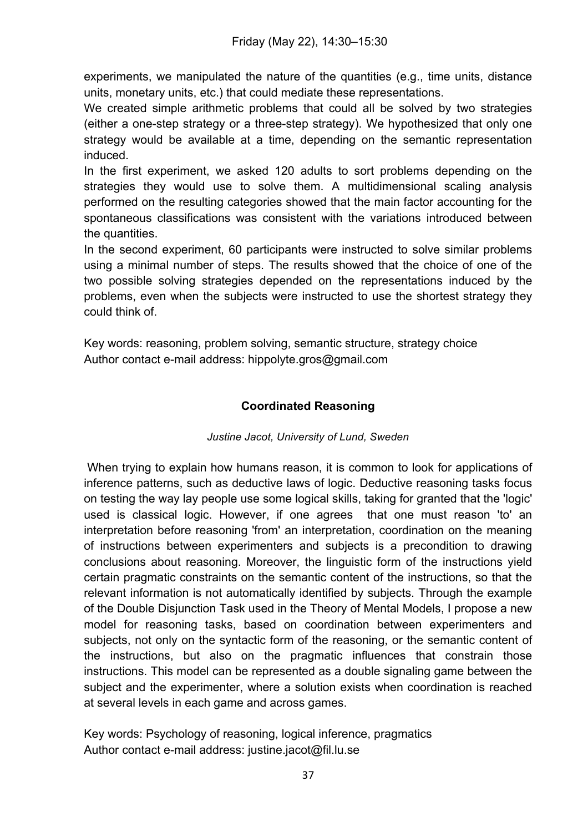experiments, we manipulated the nature of the quantities (e.g., time units, distance units, monetary units, etc.) that could mediate these representations.

We created simple arithmetic problems that could all be solved by two strategies (either a one-step strategy or a three-step strategy). We hypothesized that only one strategy would be available at a time, depending on the semantic representation induced.

In the first experiment, we asked 120 adults to sort problems depending on the strategies they would use to solve them. A multidimensional scaling analysis performed on the resulting categories showed that the main factor accounting for the spontaneous classifications was consistent with the variations introduced between the quantities.

In the second experiment, 60 participants were instructed to solve similar problems using a minimal number of steps. The results showed that the choice of one of the two possible solving strategies depended on the representations induced by the problems, even when the subjects were instructed to use the shortest strategy they could think of.

Key words: reasoning, problem solving, semantic structure, strategy choice Author contact e-mail address: hippolyte.gros@gmail.com

# **Coordinated Reasoning**

#### *Justine Jacot, University of Lund, Sweden*

When trying to explain how humans reason, it is common to look for applications of inference patterns, such as deductive laws of logic. Deductive reasoning tasks focus on testing the way lay people use some logical skills, taking for granted that the 'logic' used is classical logic. However, if one agrees that one must reason 'to' an interpretation before reasoning 'from' an interpretation, coordination on the meaning of instructions between experimenters and subjects is a precondition to drawing conclusions about reasoning. Moreover, the linguistic form of the instructions yield certain pragmatic constraints on the semantic content of the instructions, so that the relevant information is not automatically identified by subjects. Through the example of the Double Disjunction Task used in the Theory of Mental Models, I propose a new model for reasoning tasks, based on coordination between experimenters and subjects, not only on the syntactic form of the reasoning, or the semantic content of the instructions, but also on the pragmatic influences that constrain those instructions. This model can be represented as a double signaling game between the subject and the experimenter, where a solution exists when coordination is reached at several levels in each game and across games.

Key words: Psychology of reasoning, logical inference, pragmatics Author contact e-mail address: justine.jacot@fil.lu.se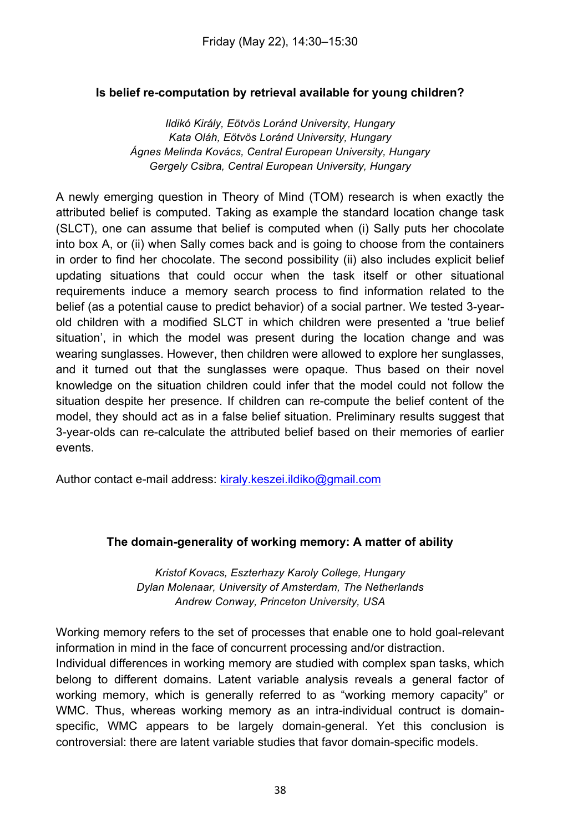# **Is belief re-computation by retrieval available for young children?**

*Ildikó Király, Eötvös Loránd University, Hungary Kata Oláh, Eötvös Loránd University, Hungary Ágnes Melinda Kovács, Central European University, Hungary Gergely Csibra, Central European University, Hungary*

A newly emerging question in Theory of Mind (TOM) research is when exactly the attributed belief is computed. Taking as example the standard location change task (SLCT), one can assume that belief is computed when (i) Sally puts her chocolate into box A, or (ii) when Sally comes back and is going to choose from the containers in order to find her chocolate. The second possibility (ii) also includes explicit belief updating situations that could occur when the task itself or other situational requirements induce a memory search process to find information related to the belief (as a potential cause to predict behavior) of a social partner. We tested 3-yearold children with a modified SLCT in which children were presented a 'true belief situation', in which the model was present during the location change and was wearing sunglasses. However, then children were allowed to explore her sunglasses, and it turned out that the sunglasses were opaque. Thus based on their novel knowledge on the situation children could infer that the model could not follow the situation despite her presence. If children can re-compute the belief content of the model, they should act as in a false belief situation. Preliminary results suggest that 3-year-olds can re-calculate the attributed belief based on their memories of earlier events.

Author contact e-mail address: kiraly.keszei.ildiko@gmail.com

#### **The domain-generality of working memory: A matter of ability**

*Kristof Kovacs, Eszterhazy Karoly College, Hungary Dylan Molenaar, University of Amsterdam, The Netherlands Andrew Conway, Princeton University, USA*

Working memory refers to the set of processes that enable one to hold goal-relevant information in mind in the face of concurrent processing and/or distraction. Individual differences in working memory are studied with complex span tasks, which belong to different domains. Latent variable analysis reveals a general factor of working memory, which is generally referred to as "working memory capacity" or WMC. Thus, whereas working memory as an intra-individual contruct is domainspecific, WMC appears to be largely domain-general. Yet this conclusion is controversial: there are latent variable studies that favor domain-specific models.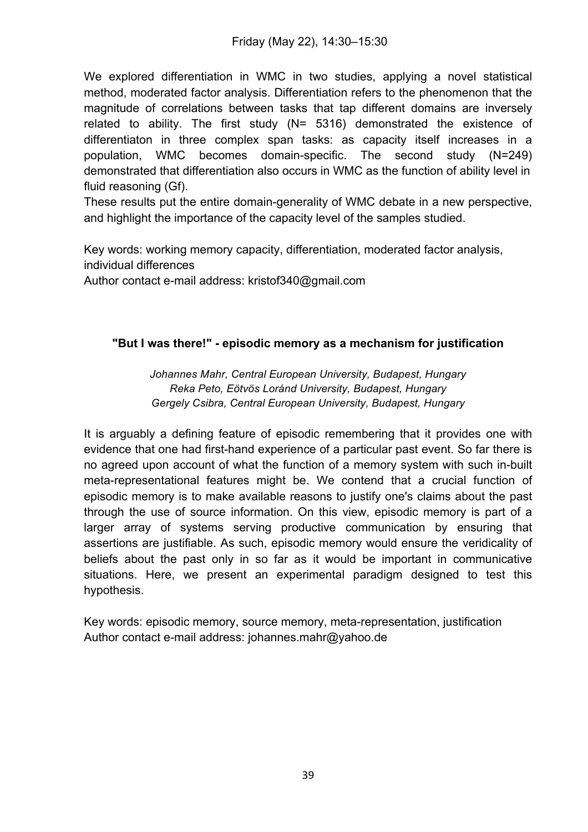Friday (May 22), 14:30–15:30

We explored differentiation in WMC in two studies, applying a novel statistical method, moderated factor analysis. Differentiation refers to the phenomenon that the magnitude of correlations between tasks that tap different domains are inversely related to ability. The first study (N= 5316) demonstrated the existence of differentiaton in three complex span tasks: as capacity itself increases in a population, WMC becomes domain-specific. The second study (N=249) demonstrated that differentiation also occurs in WMC as the function of ability level in fluid reasoning (Gf).

These results put the entire domain-generality of WMC debate in a new perspective, and highlight the importance of the capacity level of the samples studied.

Key words: working memory capacity, differentiation, moderated factor analysis, individual differences

Author contact e-mail address: kristof340@gmail.com

#### **"But I was there!" - episodic memory as a mechanism for justification**

*Johannes Mahr, Central European University, Budapest, Hungary Reka Peto, Eötvös Loránd University, Budapest, Hungary Gergely Csibra, Central European University, Budapest, Hungary*

It is arguably a defining feature of episodic remembering that it provides one with evidence that one had first-hand experience of a particular past event. So far there is no agreed upon account of what the function of a memory system with such in-built meta-representational features might be. We contend that a crucial function of episodic memory is to make available reasons to justify one's claims about the past through the use of source information. On this view, episodic memory is part of a larger array of systems serving productive communication by ensuring that assertions are justifiable. As such, episodic memory would ensure the veridicality of beliefs about the past only in so far as it would be important in communicative situations. Here, we present an experimental paradigm designed to test this hypothesis.

Key words: episodic memory, source memory, meta-representation, justification Author contact e-mail address: johannes.mahr@yahoo.de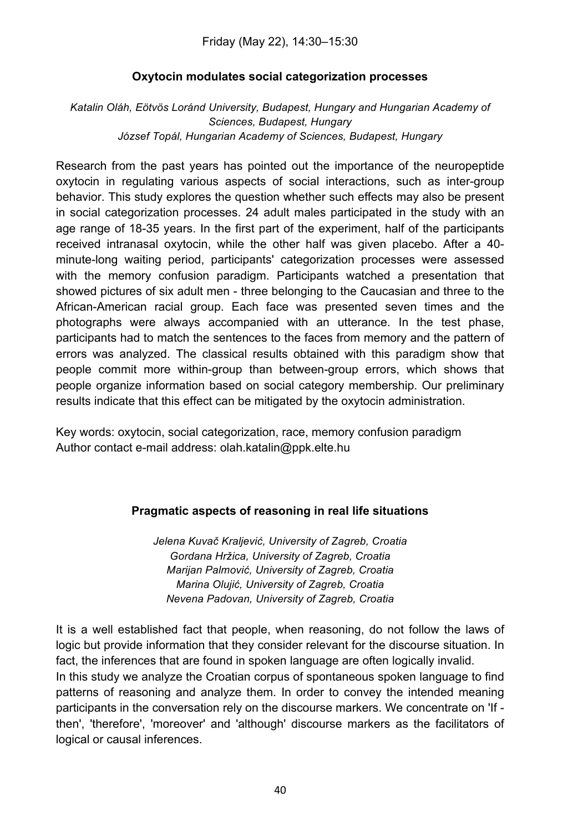Friday (May 22), 14:30–15:30

#### **Oxytocin modulates social categorization processes**

*Katalin Oláh, Eötvös Loránd University, Budapest, Hungary and Hungarian Academy of Sciences, Budapest, Hungary József Topál, Hungarian Academy of Sciences, Budapest, Hungary*

Research from the past years has pointed out the importance of the neuropeptide oxytocin in regulating various aspects of social interactions, such as inter-group behavior. This study explores the question whether such effects may also be present in social categorization processes. 24 adult males participated in the study with an age range of 18-35 years. In the first part of the experiment, half of the participants received intranasal oxytocin, while the other half was given placebo. After a 40 minute-long waiting period, participants' categorization processes were assessed with the memory confusion paradigm. Participants watched a presentation that showed pictures of six adult men - three belonging to the Caucasian and three to the African-American racial group. Each face was presented seven times and the photographs were always accompanied with an utterance. In the test phase, participants had to match the sentences to the faces from memory and the pattern of errors was analyzed. The classical results obtained with this paradigm show that people commit more within-group than between-group errors, which shows that people organize information based on social category membership. Our preliminary results indicate that this effect can be mitigated by the oxytocin administration.

Key words: oxytocin, social categorization, race, memory confusion paradigm Author contact e-mail address: olah.katalin@ppk.elte.hu

#### **Pragmatic aspects of reasoning in real life situations**

*Jelena Kuvač Kraljević, University of Zagreb, Croatia Gordana Hržica, University of Zagreb, Croatia Marijan Palmović, University of Zagreb, Croatia Marina Olujić, University of Zagreb, Croatia Nevena Padovan, University of Zagreb, Croatia*

It is a well established fact that people, when reasoning, do not follow the laws of logic but provide information that they consider relevant for the discourse situation. In fact, the inferences that are found in spoken language are often logically invalid. In this study we analyze the Croatian corpus of spontaneous spoken language to find patterns of reasoning and analyze them. In order to convey the intended meaning participants in the conversation rely on the discourse markers. We concentrate on 'If then', 'therefore', 'moreover' and 'although' discourse markers as the facilitators of logical or causal inferences.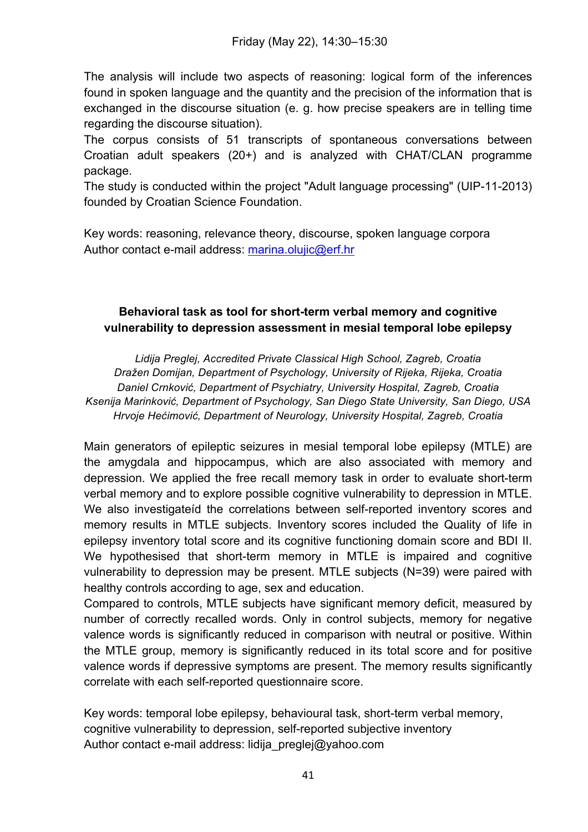The analysis will include two aspects of reasoning: logical form of the inferences found in spoken language and the quantity and the precision of the information that is exchanged in the discourse situation (e. g. how precise speakers are in telling time regarding the discourse situation).

The corpus consists of 51 transcripts of spontaneous conversations between Croatian adult speakers (20+) and is analyzed with CHAT/CLAN programme package.

The study is conducted within the project "Adult language processing" (UIP-11-2013) founded by Croatian Science Foundation.

Key words: reasoning, relevance theory, discourse, spoken language corpora Author contact e-mail address: marina.olujic@erf.hr

# **Behavioral task as tool for short-term verbal memory and cognitive vulnerability to depression assessment in mesial temporal lobe epilepsy**

*Lidija Preglej, Accredited Private Classical High School, Zagreb, Croatia Dražen Domijan, Department of Psychology, University of Rijeka, Rijeka, Croatia Daniel Crnković, Department of Psychiatry, University Hospital, Zagreb, Croatia Ksenija Marinković, Department of Psychology, San Diego State University, San Diego, USA Hrvoje Hećimović, Department of Neurology, University Hospital, Zagreb, Croatia*

Main generators of epileptic seizures in mesial temporal lobe epilepsy (MTLE) are the amygdala and hippocampus, which are also associated with memory and depression. We applied the free recall memory task in order to evaluate short-term verbal memory and to explore possible cognitive vulnerability to depression in MTLE. We also investigateíd the correlations between self-reported inventory scores and memory results in MTLE subjects. Inventory scores included the Quality of life in epilepsy inventory total score and its cognitive functioning domain score and BDI II. We hypothesised that short-term memory in MTLE is impaired and cognitive vulnerability to depression may be present. MTLE subjects (N=39) were paired with healthy controls according to age, sex and education.

Compared to controls, MTLE subjects have significant memory deficit, measured by number of correctly recalled words. Only in control subjects, memory for negative valence words is significantly reduced in comparison with neutral or positive. Within the MTLE group, memory is significantly reduced in its total score and for positive valence words if depressive symptoms are present. The memory results significantly correlate with each self-reported questionnaire score.

Key words: temporal lobe epilepsy, behavioural task, short-term verbal memory, cognitive vulnerability to depression, self-reported subjective inventory Author contact e-mail address: lidija preglej@yahoo.com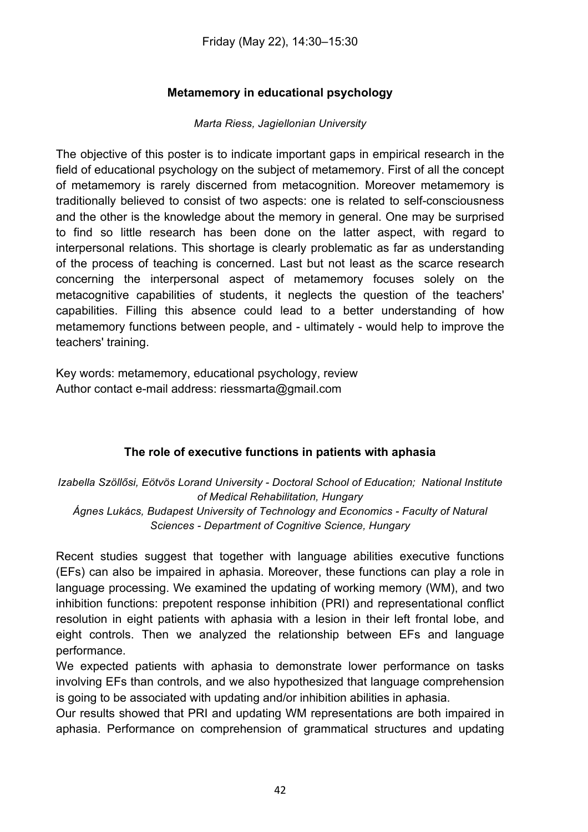# **Metamemory in educational psychology**

#### *Marta Riess, Jagiellonian University*

The objective of this poster is to indicate important gaps in empirical research in the field of educational psychology on the subject of metamemory. First of all the concept of metamemory is rarely discerned from metacognition. Moreover metamemory is traditionally believed to consist of two aspects: one is related to self-consciousness and the other is the knowledge about the memory in general. One may be surprised to find so little research has been done on the latter aspect, with regard to interpersonal relations. This shortage is clearly problematic as far as understanding of the process of teaching is concerned. Last but not least as the scarce research concerning the interpersonal aspect of metamemory focuses solely on the metacognitive capabilities of students, it neglects the question of the teachers' capabilities. Filling this absence could lead to a better understanding of how metamemory functions between people, and - ultimately - would help to improve the teachers' training.

Key words: metamemory, educational psychology, review Author contact e-mail address: riessmarta@gmail.com

#### **The role of executive functions in patients with aphasia**

*Izabella Szöllősi, Eötvös Lorand University - Doctoral School of Education; National Institute of Medical Rehabilitation, Hungary Ágnes Lukács, Budapest University of Technology and Economics - Faculty of Natural Sciences - Department of Cognitive Science, Hungary*

Recent studies suggest that together with language abilities executive functions (EFs) can also be impaired in aphasia. Moreover, these functions can play a role in language processing. We examined the updating of working memory (WM), and two inhibition functions: prepotent response inhibition (PRI) and representational conflict resolution in eight patients with aphasia with a lesion in their left frontal lobe, and eight controls. Then we analyzed the relationship between EFs and language performance.

We expected patients with aphasia to demonstrate lower performance on tasks involving EFs than controls, and we also hypothesized that language comprehension is going to be associated with updating and/or inhibition abilities in aphasia.

Our results showed that PRI and updating WM representations are both impaired in aphasia. Performance on comprehension of grammatical structures and updating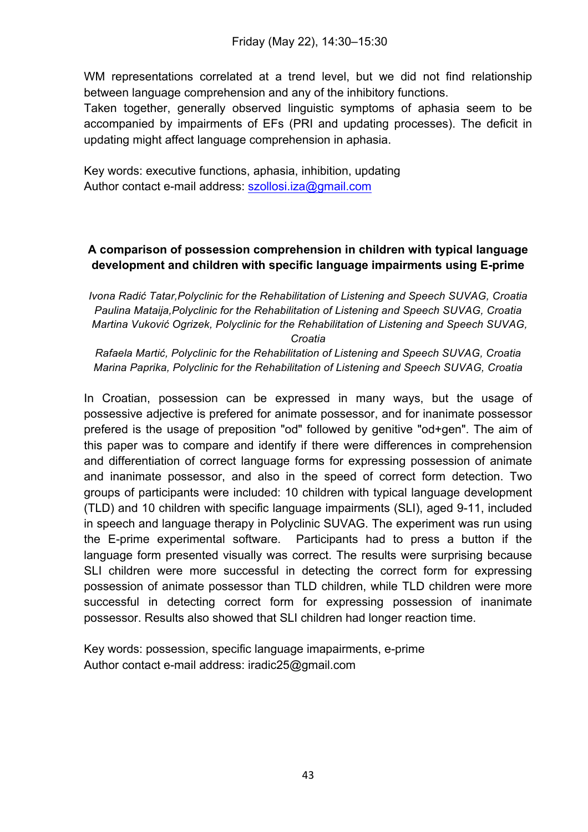WM representations correlated at a trend level, but we did not find relationship between language comprehension and any of the inhibitory functions.

Taken together, generally observed linguistic symptoms of aphasia seem to be accompanied by impairments of EFs (PRI and updating processes). The deficit in updating might affect language comprehension in aphasia.

Key words: executive functions, aphasia, inhibition, updating Author contact e-mail address: szollosi.iza@gmail.com

# **A comparison of possession comprehension in children with typical language development and children with specific language impairments using E-prime**

*Ivona Radić Tatar,Polyclinic for the Rehabilitation of Listening and Speech SUVAG, Croatia Paulina Mataija,Polyclinic for the Rehabilitation of Listening and Speech SUVAG, Croatia Martina Vuković Ogrizek, Polyclinic for the Rehabilitation of Listening and Speech SUVAG,* 

*Croatia*

*Rafaela Martić, Polyclinic for the Rehabilitation of Listening and Speech SUVAG, Croatia Marina Paprika, Polyclinic for the Rehabilitation of Listening and Speech SUVAG, Croatia*

In Croatian, possession can be expressed in many ways, but the usage of possessive adjective is prefered for animate possessor, and for inanimate possessor prefered is the usage of preposition "od" followed by genitive "od+gen". The aim of this paper was to compare and identify if there were differences in comprehension and differentiation of correct language forms for expressing possession of animate and inanimate possessor, and also in the speed of correct form detection. Two groups of participants were included: 10 children with typical language development (TLD) and 10 children with specific language impairments (SLI), aged 9-11, included in speech and language therapy in Polyclinic SUVAG. The experiment was run using the E-prime experimental software. Participants had to press a button if the language form presented visually was correct. The results were surprising because SLI children were more successful in detecting the correct form for expressing possession of animate possessor than TLD children, while TLD children were more successful in detecting correct form for expressing possession of inanimate possessor. Results also showed that SLI children had longer reaction time.

Key words: possession, specific language imapairments, e-prime Author contact e-mail address: iradic25@gmail.com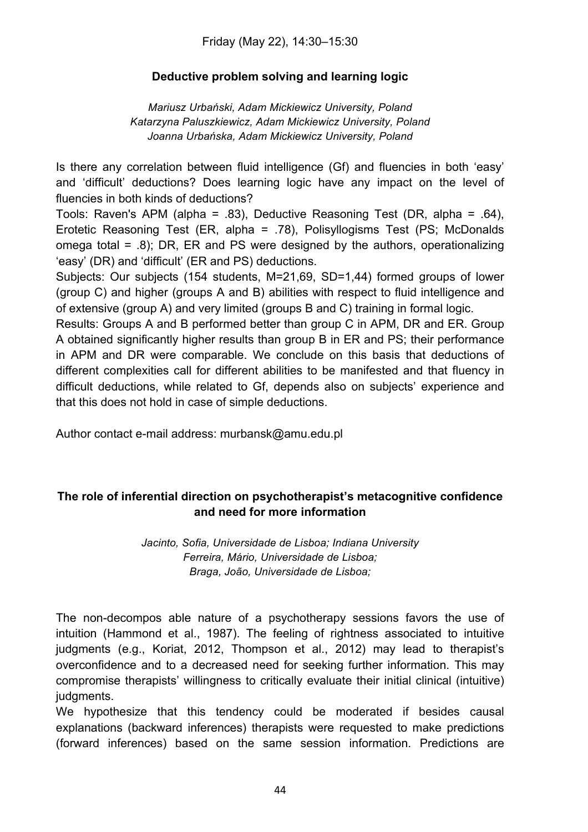Friday (May 22), 14:30–15:30

#### **Deductive problem solving and learning logic**

*Mariusz Urbański, Adam Mickiewicz University, Poland Katarzyna Paluszkiewicz, Adam Mickiewicz University, Poland Joanna Urbańska, Adam Mickiewicz University, Poland*

Is there any correlation between fluid intelligence (Gf) and fluencies in both 'easy' and 'difficult' deductions? Does learning logic have any impact on the level of fluencies in both kinds of deductions?

Tools: Raven's APM (alpha = .83), Deductive Reasoning Test (DR, alpha = .64), Erotetic Reasoning Test (ER, alpha = .78), Polisyllogisms Test (PS; McDonalds omega total = .8); DR, ER and PS were designed by the authors, operationalizing 'easy' (DR) and 'difficult' (ER and PS) deductions.

Subjects: Our subjects (154 students, M=21,69, SD=1,44) formed groups of lower (group C) and higher (groups A and B) abilities with respect to fluid intelligence and of extensive (group A) and very limited (groups B and C) training in formal logic.

Results: Groups A and B performed better than group C in APM, DR and ER. Group A obtained significantly higher results than group B in ER and PS; their performance in APM and DR were comparable. We conclude on this basis that deductions of different complexities call for different abilities to be manifested and that fluency in difficult deductions, while related to Gf, depends also on subjects' experience and that this does not hold in case of simple deductions.

Author contact e-mail address: murbansk@amu.edu.pl

# **The role of inferential direction on psychotherapist's metacognitive confidence and need for more information**

*Jacinto, Sofia, Universidade de Lisboa; Indiana University Ferreira, Mário, Universidade de Lisboa; Braga, João, Universidade de Lisboa;*

The non-decompos able nature of a psychotherapy sessions favors the use of intuition (Hammond et al., 1987). The feeling of rightness associated to intuitive judgments (e.g., Koriat, 2012, Thompson et al., 2012) may lead to therapist's overconfidence and to a decreased need for seeking further information. This may compromise therapists' willingness to critically evaluate their initial clinical (intuitive) judgments.

We hypothesize that this tendency could be moderated if besides causal explanations (backward inferences) therapists were requested to make predictions (forward inferences) based on the same session information. Predictions are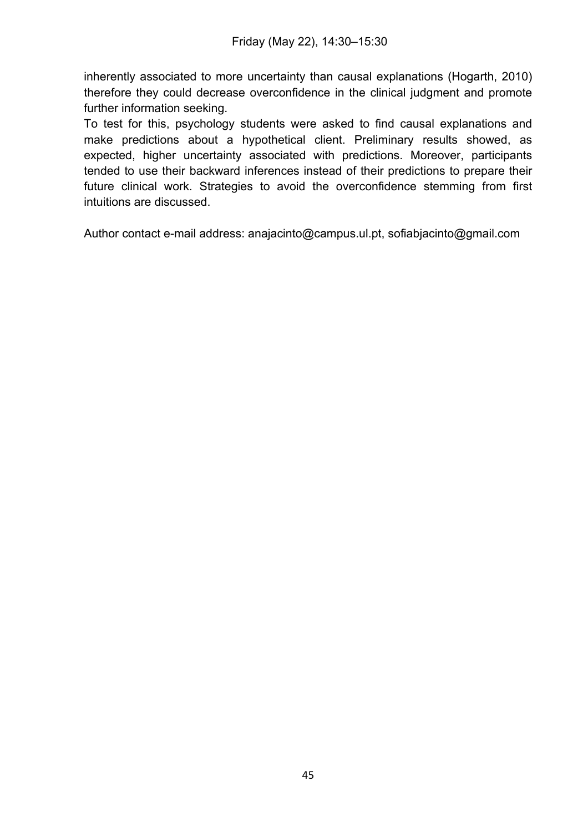inherently associated to more uncertainty than causal explanations (Hogarth, 2010) therefore they could decrease overconfidence in the clinical judgment and promote further information seeking.

To test for this, psychology students were asked to find causal explanations and make predictions about a hypothetical client. Preliminary results showed, as expected, higher uncertainty associated with predictions. Moreover, participants tended to use their backward inferences instead of their predictions to prepare their future clinical work. Strategies to avoid the overconfidence stemming from first intuitions are discussed.

Author contact e-mail address: anajacinto@campus.ul.pt, sofiabjacinto@gmail.com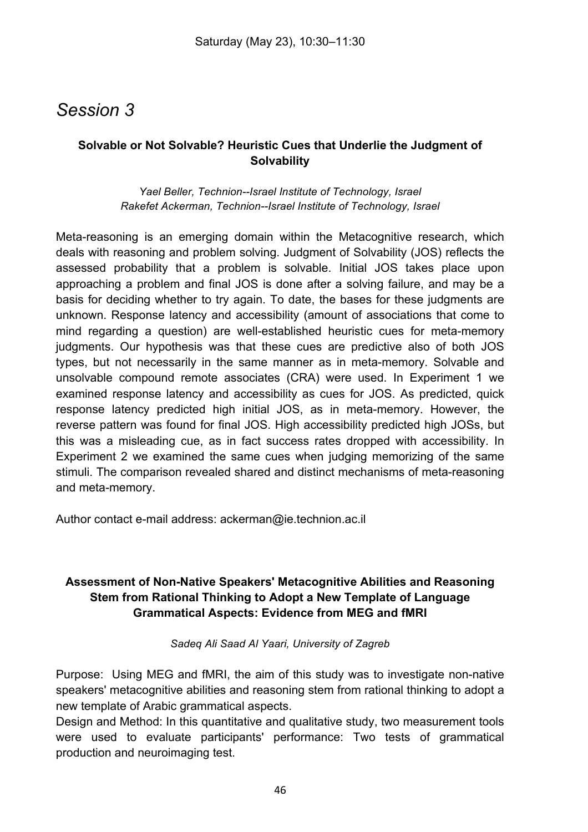# *Session 3*

# **Solvable or Not Solvable? Heuristic Cues that Underlie the Judgment of Solvability**

*Yael Beller, Technion--Israel Institute of Technology, Israel Rakefet Ackerman, Technion--Israel Institute of Technology, Israel*

Meta-reasoning is an emerging domain within the Metacognitive research, which deals with reasoning and problem solving. Judgment of Solvability (JOS) reflects the assessed probability that a problem is solvable. Initial JOS takes place upon approaching a problem and final JOS is done after a solving failure, and may be a basis for deciding whether to try again. To date, the bases for these judgments are unknown. Response latency and accessibility (amount of associations that come to mind regarding a question) are well-established heuristic cues for meta-memory judgments. Our hypothesis was that these cues are predictive also of both JOS types, but not necessarily in the same manner as in meta-memory. Solvable and unsolvable compound remote associates (CRA) were used. In Experiment 1 we examined response latency and accessibility as cues for JOS. As predicted, quick response latency predicted high initial JOS, as in meta-memory. However, the reverse pattern was found for final JOS. High accessibility predicted high JOSs, but this was a misleading cue, as in fact success rates dropped with accessibility. In Experiment 2 we examined the same cues when judging memorizing of the same stimuli. The comparison revealed shared and distinct mechanisms of meta-reasoning and meta-memory.

Author contact e-mail address: ackerman@ie.technion.ac.il

# **Assessment of Non-Native Speakers' Metacognitive Abilities and Reasoning Stem from Rational Thinking to Adopt a New Template of Language Grammatical Aspects: Evidence from MEG and fMRI**

*Sadeq Ali Saad Al Yaari, University of Zagreb*

Purpose: Using MEG and fMRI, the aim of this study was to investigate non-native speakers' metacognitive abilities and reasoning stem from rational thinking to adopt a new template of Arabic grammatical aspects.

Design and Method: In this quantitative and qualitative study, two measurement tools were used to evaluate participants' performance: Two tests of grammatical production and neuroimaging test.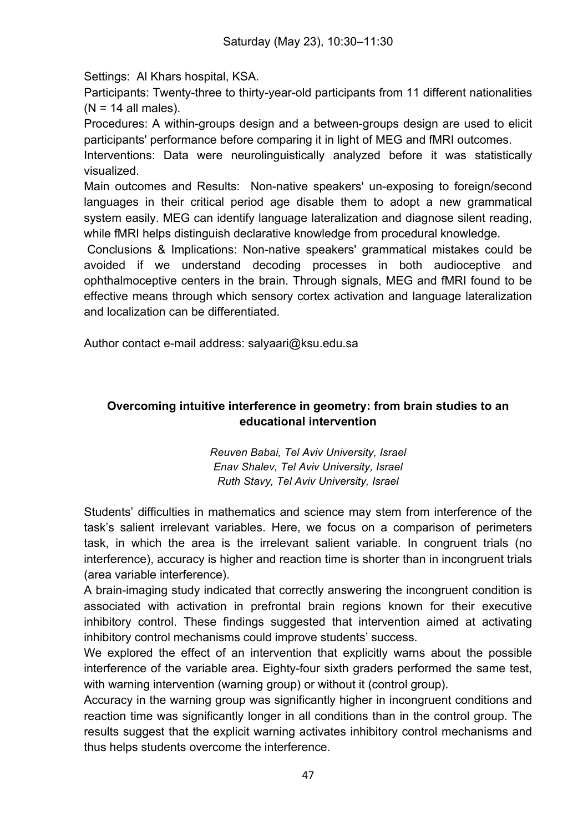Settings: Al Khars hospital, KSA.

Participants: Twenty-three to thirty-year-old participants from 11 different nationalities  $(N = 14$  all males).

Procedures: A within-groups design and a between-groups design are used to elicit participants' performance before comparing it in light of MEG and fMRI outcomes.

Interventions: Data were neurolinguistically analyzed before it was statistically visualized.

Main outcomes and Results: Non-native speakers' un-exposing to foreign/second languages in their critical period age disable them to adopt a new grammatical system easily. MEG can identify language lateralization and diagnose silent reading, while fMRI helps distinguish declarative knowledge from procedural knowledge.

Conclusions & Implications: Non-native speakers' grammatical mistakes could be avoided if we understand decoding processes in both audioceptive and ophthalmoceptive centers in the brain. Through signals, MEG and fMRI found to be effective means through which sensory cortex activation and language lateralization and localization can be differentiated.

Author contact e-mail address: salyaari@ksu.edu.sa

# **Overcoming intuitive interference in geometry: from brain studies to an educational intervention**

*Reuven Babai, Tel Aviv University, Israel Enav Shalev, Tel Aviv University, Israel Ruth Stavy, Tel Aviv University, Israel*

Students' difficulties in mathematics and science may stem from interference of the task's salient irrelevant variables. Here, we focus on a comparison of perimeters task, in which the area is the irrelevant salient variable. In congruent trials (no interference), accuracy is higher and reaction time is shorter than in incongruent trials (area variable interference).

A brain-imaging study indicated that correctly answering the incongruent condition is associated with activation in prefrontal brain regions known for their executive inhibitory control. These findings suggested that intervention aimed at activating inhibitory control mechanisms could improve students' success.

We explored the effect of an intervention that explicitly warns about the possible interference of the variable area. Eighty-four sixth graders performed the same test, with warning intervention (warning group) or without it (control group).

Accuracy in the warning group was significantly higher in incongruent conditions and reaction time was significantly longer in all conditions than in the control group. The results suggest that the explicit warning activates inhibitory control mechanisms and thus helps students overcome the interference.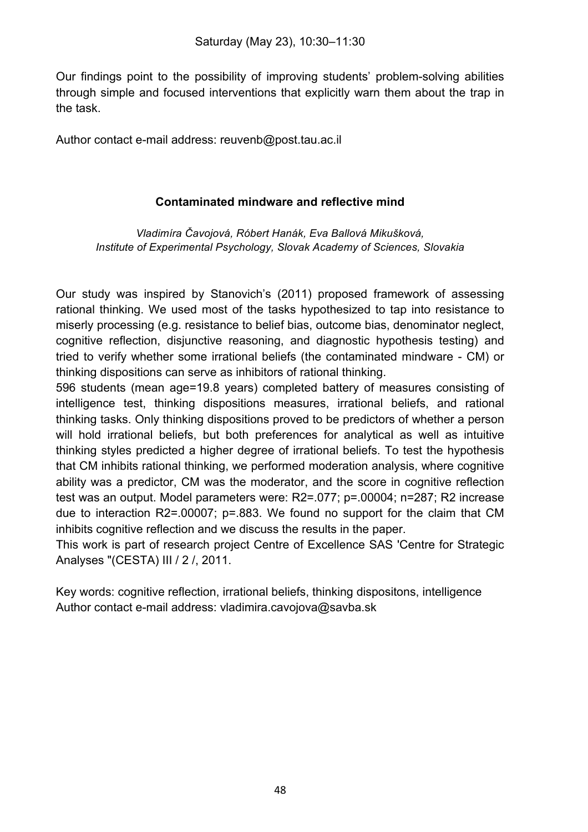Our findings point to the possibility of improving students' problem-solving abilities through simple and focused interventions that explicitly warn them about the trap in the task.

Author contact e-mail address: reuvenb@post.tau.ac.il

#### **Contaminated mindware and reflective mind**

*Vladimíra Čavojová, Róbert Hanák, Eva Ballová Mikušková, Institute of Experimental Psychology, Slovak Academy of Sciences, Slovakia*

Our study was inspired by Stanovich's (2011) proposed framework of assessing rational thinking. We used most of the tasks hypothesized to tap into resistance to miserly processing (e.g. resistance to belief bias, outcome bias, denominator neglect, cognitive reflection, disjunctive reasoning, and diagnostic hypothesis testing) and tried to verify whether some irrational beliefs (the contaminated mindware - CM) or thinking dispositions can serve as inhibitors of rational thinking.

596 students (mean age=19.8 years) completed battery of measures consisting of intelligence test, thinking dispositions measures, irrational beliefs, and rational thinking tasks. Only thinking dispositions proved to be predictors of whether a person will hold irrational beliefs, but both preferences for analytical as well as intuitive thinking styles predicted a higher degree of irrational beliefs. To test the hypothesis that CM inhibits rational thinking, we performed moderation analysis, where cognitive ability was a predictor, CM was the moderator, and the score in cognitive reflection test was an output. Model parameters were: R2=.077; p=.00004; n=287; R2 increase due to interaction R2=.00007; p=.883. We found no support for the claim that CM inhibits cognitive reflection and we discuss the results in the paper.

This work is part of research project Centre of Excellence SAS 'Centre for Strategic Analyses "(CESTA) III / 2 /, 2011.

Key words: cognitive reflection, irrational beliefs, thinking dispositons, intelligence Author contact e-mail address: vladimira.cavojova@savba.sk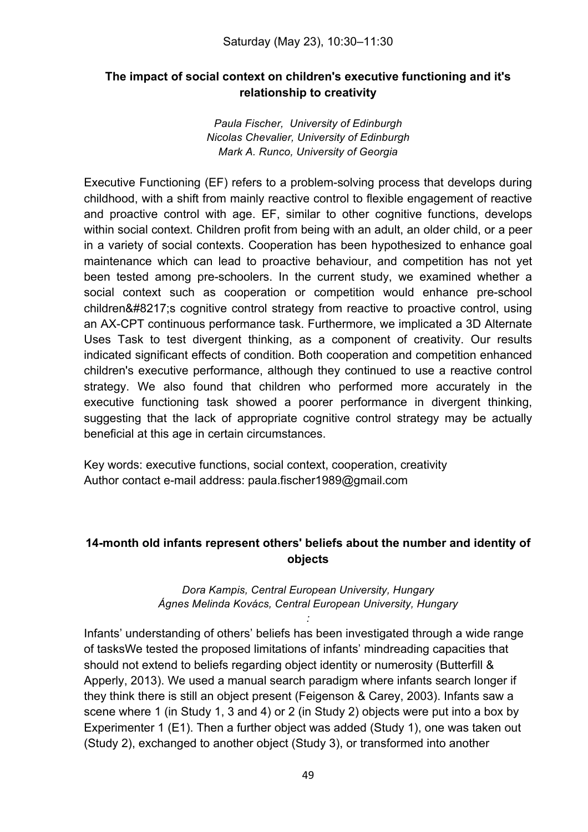# **The impact of social context on children's executive functioning and it's relationship to creativity**

*Paula Fischer, University of Edinburgh Nicolas Chevalier, University of Edinburgh Mark A. Runco, University of Georgia*

Executive Functioning (EF) refers to a problem-solving process that develops during childhood, with a shift from mainly reactive control to flexible engagement of reactive and proactive control with age. EF, similar to other cognitive functions, develops within social context. Children profit from being with an adult, an older child, or a peer in a variety of social contexts. Cooperation has been hypothesized to enhance goal maintenance which can lead to proactive behaviour, and competition has not yet been tested among pre-schoolers. In the current study, we examined whether a social context such as cooperation or competition would enhance pre-school children' scognitive control strategy from reactive to proactive control, using an AX-CPT continuous performance task. Furthermore, we implicated a 3D Alternate Uses Task to test divergent thinking, as a component of creativity. Our results indicated significant effects of condition. Both cooperation and competition enhanced children's executive performance, although they continued to use a reactive control strategy. We also found that children who performed more accurately in the executive functioning task showed a poorer performance in divergent thinking, suggesting that the lack of appropriate cognitive control strategy may be actually beneficial at this age in certain circumstances.

Key words: executive functions, social context, cooperation, creativity Author contact e-mail address: paula.fischer1989@gmail.com

# **14-month old infants represent others' beliefs about the number and identity of objects**

#### *Dora Kampis, Central European University, Hungary Ágnes Melinda Kovács, Central European University, Hungary*

*:*

Infants' understanding of others' beliefs has been investigated through a wide range of tasksWe tested the proposed limitations of infants' mindreading capacities that should not extend to beliefs regarding object identity or numerosity (Butterfill & Apperly, 2013). We used a manual search paradigm where infants search longer if they think there is still an object present (Feigenson & Carey, 2003). Infants saw a scene where 1 (in Study 1, 3 and 4) or 2 (in Study 2) objects were put into a box by Experimenter 1 (E1). Then a further object was added (Study 1), one was taken out (Study 2), exchanged to another object (Study 3), or transformed into another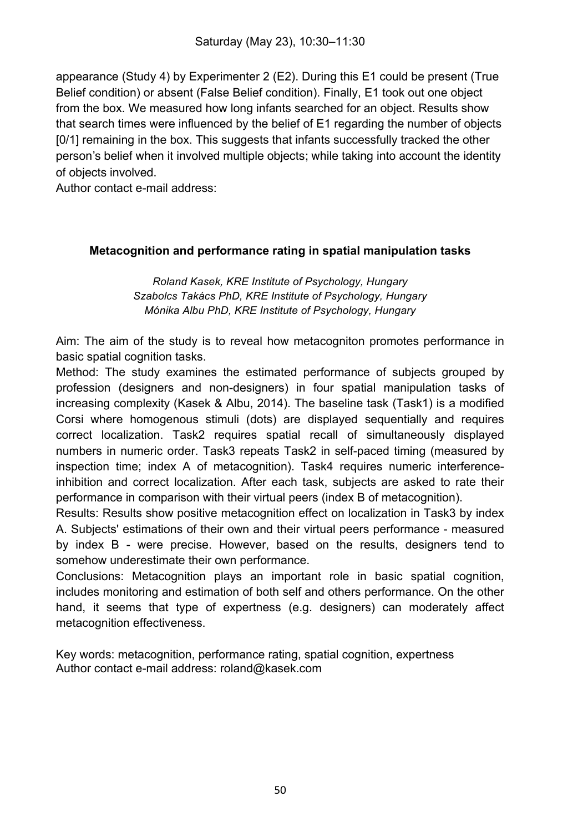appearance (Study 4) by Experimenter 2 (E2). During this E1 could be present (True Belief condition) or absent (False Belief condition). Finally, E1 took out one object from the box. We measured how long infants searched for an object. Results show that search times were influenced by the belief of E1 regarding the number of objects [0/1] remaining in the box. This suggests that infants successfully tracked the other person's belief when it involved multiple objects; while taking into account the identity of objects involved.

Author contact e-mail address:

#### **Metacognition and performance rating in spatial manipulation tasks**

*Roland Kasek, KRE Institute of Psychology, Hungary Szabolcs Takács PhD, KRE Institute of Psychology, Hungary Mónika Albu PhD, KRE Institute of Psychology, Hungary*

Aim: The aim of the study is to reveal how metacogniton promotes performance in basic spatial cognition tasks.

Method: The study examines the estimated performance of subjects grouped by profession (designers and non-designers) in four spatial manipulation tasks of increasing complexity (Kasek & Albu, 2014). The baseline task (Task1) is a modified Corsi where homogenous stimuli (dots) are displayed sequentially and requires correct localization. Task2 requires spatial recall of simultaneously displayed numbers in numeric order. Task3 repeats Task2 in self-paced timing (measured by inspection time; index A of metacognition). Task4 requires numeric interferenceinhibition and correct localization. After each task, subjects are asked to rate their performance in comparison with their virtual peers (index B of metacognition).

Results: Results show positive metacognition effect on localization in Task3 by index A. Subjects' estimations of their own and their virtual peers performance - measured by index B - were precise. However, based on the results, designers tend to somehow underestimate their own performance.

Conclusions: Metacognition plays an important role in basic spatial cognition, includes monitoring and estimation of both self and others performance. On the other hand, it seems that type of expertness (e.g. designers) can moderately affect metacognition effectiveness.

Key words: metacognition, performance rating, spatial cognition, expertness Author contact e-mail address: roland@kasek.com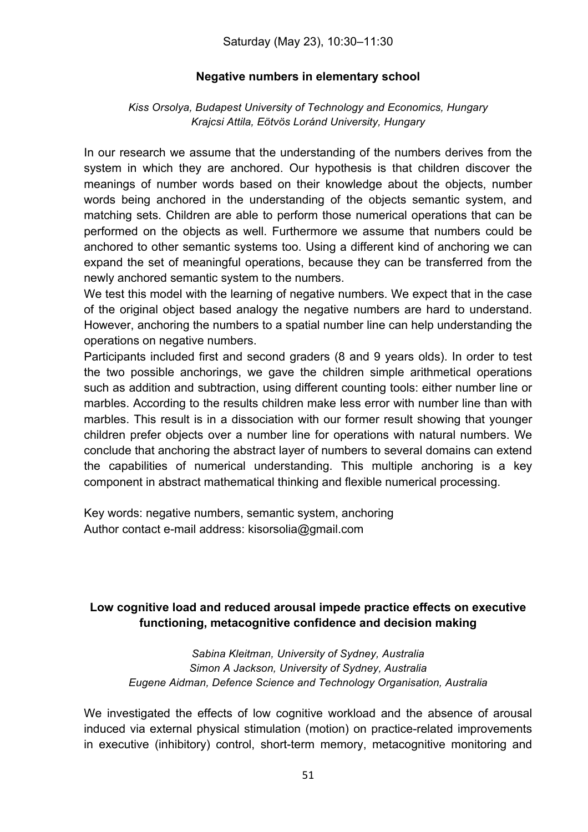#### **Negative numbers in elementary school**

*Kiss Orsolya, Budapest University of Technology and Economics, Hungary Krajcsi Attila, Eötvös Loránd University, Hungary*

In our research we assume that the understanding of the numbers derives from the system in which they are anchored. Our hypothesis is that children discover the meanings of number words based on their knowledge about the objects, number words being anchored in the understanding of the objects semantic system, and matching sets. Children are able to perform those numerical operations that can be performed on the objects as well. Furthermore we assume that numbers could be anchored to other semantic systems too. Using a different kind of anchoring we can expand the set of meaningful operations, because they can be transferred from the newly anchored semantic system to the numbers.

We test this model with the learning of negative numbers. We expect that in the case of the original object based analogy the negative numbers are hard to understand. However, anchoring the numbers to a spatial number line can help understanding the operations on negative numbers.

Participants included first and second graders (8 and 9 years olds). In order to test the two possible anchorings, we gave the children simple arithmetical operations such as addition and subtraction, using different counting tools: either number line or marbles. According to the results children make less error with number line than with marbles. This result is in a dissociation with our former result showing that younger children prefer objects over a number line for operations with natural numbers. We conclude that anchoring the abstract layer of numbers to several domains can extend the capabilities of numerical understanding. This multiple anchoring is a key component in abstract mathematical thinking and flexible numerical processing.

Key words: negative numbers, semantic system, anchoring Author contact e-mail address: kisorsolia@gmail.com

# **Low cognitive load and reduced arousal impede practice effects on executive functioning, metacognitive confidence and decision making**

*Sabina Kleitman, University of Sydney, Australia Simon A Jackson, University of Sydney, Australia Eugene Aidman, Defence Science and Technology Organisation, Australia*

We investigated the effects of low cognitive workload and the absence of arousal induced via external physical stimulation (motion) on practice-related improvements in executive (inhibitory) control, short-term memory, metacognitive monitoring and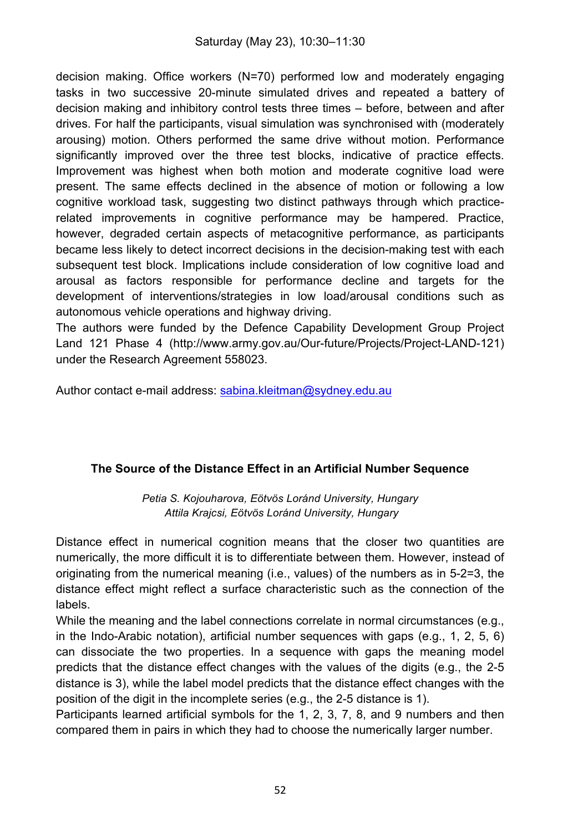decision making. Office workers (N=70) performed low and moderately engaging tasks in two successive 20-minute simulated drives and repeated a battery of decision making and inhibitory control tests three times – before, between and after drives. For half the participants, visual simulation was synchronised with (moderately arousing) motion. Others performed the same drive without motion. Performance significantly improved over the three test blocks, indicative of practice effects. Improvement was highest when both motion and moderate cognitive load were present. The same effects declined in the absence of motion or following a low cognitive workload task, suggesting two distinct pathways through which practicerelated improvements in cognitive performance may be hampered. Practice, however, degraded certain aspects of metacognitive performance, as participants became less likely to detect incorrect decisions in the decision-making test with each subsequent test block. Implications include consideration of low cognitive load and arousal as factors responsible for performance decline and targets for the development of interventions/strategies in low load/arousal conditions such as autonomous vehicle operations and highway driving.

The authors were funded by the Defence Capability Development Group Project Land 121 Phase 4 (http://www.army.gov.au/Our-future/Projects/Project-LAND-121) under the Research Agreement 558023.

Author contact e-mail address: sabina.kleitman@sydney.edu.au

#### **The Source of the Distance Effect in an Artificial Number Sequence**

*Petia S. Kojouharova, Eötvös Loránd University, Hungary Attila Krajcsi, Eötvös Loránd University, Hungary*

Distance effect in numerical cognition means that the closer two quantities are numerically, the more difficult it is to differentiate between them. However, instead of originating from the numerical meaning (i.e., values) of the numbers as in 5-2=3, the distance effect might reflect a surface characteristic such as the connection of the labels.

While the meaning and the label connections correlate in normal circumstances (e.g., in the Indo-Arabic notation), artificial number sequences with gaps (e.g., 1, 2, 5, 6) can dissociate the two properties. In a sequence with gaps the meaning model predicts that the distance effect changes with the values of the digits (e.g., the 2-5 distance is 3), while the label model predicts that the distance effect changes with the position of the digit in the incomplete series (e.g., the 2-5 distance is 1).

Participants learned artificial symbols for the 1, 2, 3, 7, 8, and 9 numbers and then compared them in pairs in which they had to choose the numerically larger number.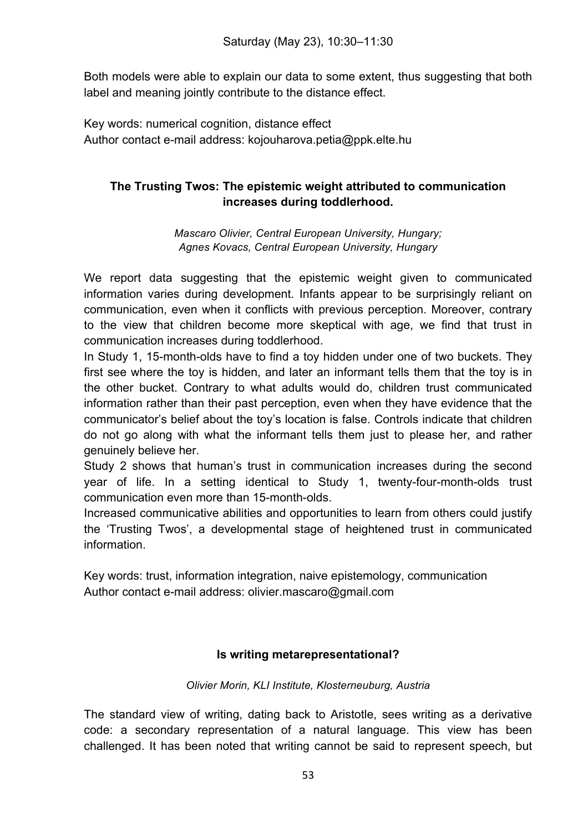Both models were able to explain our data to some extent, thus suggesting that both label and meaning jointly contribute to the distance effect.

Key words: numerical cognition, distance effect Author contact e-mail address: kojouharova.petia@ppk.elte.hu

# **The Trusting Twos: The epistemic weight attributed to communication increases during toddlerhood.**

*Mascaro Olivier, Central European University, Hungary; Agnes Kovacs, Central European University, Hungary*

We report data suggesting that the epistemic weight given to communicated information varies during development. Infants appear to be surprisingly reliant on communication, even when it conflicts with previous perception. Moreover, contrary to the view that children become more skeptical with age, we find that trust in communication increases during toddlerhood.

In Study 1, 15-month-olds have to find a toy hidden under one of two buckets. They first see where the toy is hidden, and later an informant tells them that the toy is in the other bucket. Contrary to what adults would do, children trust communicated information rather than their past perception, even when they have evidence that the communicator's belief about the toy's location is false. Controls indicate that children do not go along with what the informant tells them just to please her, and rather genuinely believe her.

Study 2 shows that human's trust in communication increases during the second year of life. In a setting identical to Study 1, twenty-four-month-olds trust communication even more than 15-month-olds.

Increased communicative abilities and opportunities to learn from others could justify the 'Trusting Twos', a developmental stage of heightened trust in communicated information.

Key words: trust, information integration, naive epistemology, communication Author contact e-mail address: olivier.mascaro@gmail.com

# **Is writing metarepresentational?**

#### *Olivier Morin, KLI Institute, Klosterneuburg, Austria*

The standard view of writing, dating back to Aristotle, sees writing as a derivative code: a secondary representation of a natural language. This view has been challenged. It has been noted that writing cannot be said to represent speech, but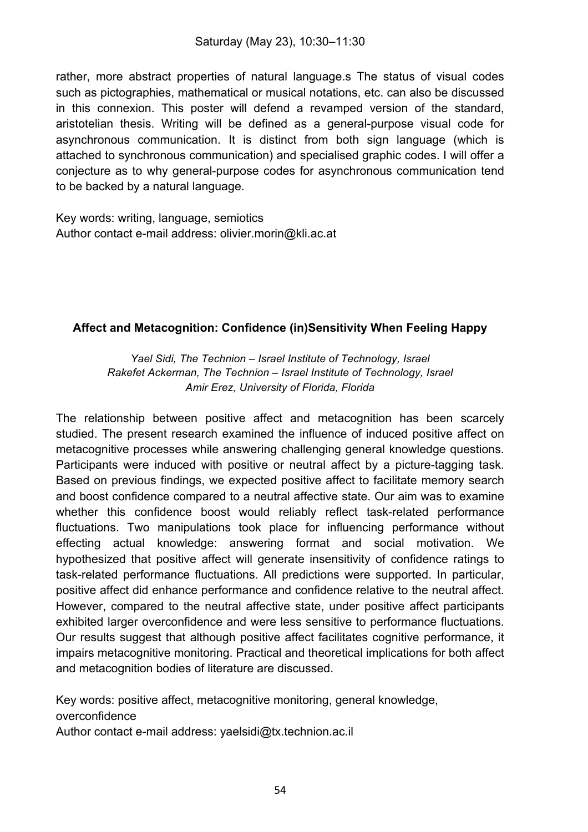rather, more abstract properties of natural language.s The status of visual codes such as pictographies, mathematical or musical notations, etc. can also be discussed in this connexion. This poster will defend a revamped version of the standard, aristotelian thesis. Writing will be defined as a general-purpose visual code for asynchronous communication. It is distinct from both sign language (which is attached to synchronous communication) and specialised graphic codes. I will offer a conjecture as to why general-purpose codes for asynchronous communication tend to be backed by a natural language.

Key words: writing, language, semiotics Author contact e-mail address: olivier.morin@kli.ac.at

# **Affect and Metacognition: Confidence (in)Sensitivity When Feeling Happy**

*Yael Sidi, The Technion – Israel Institute of Technology, Israel Rakefet Ackerman, The Technion – Israel Institute of Technology, Israel Amir Erez, University of Florida, Florida*

The relationship between positive affect and metacognition has been scarcely studied. The present research examined the influence of induced positive affect on metacognitive processes while answering challenging general knowledge questions. Participants were induced with positive or neutral affect by a picture-tagging task. Based on previous findings, we expected positive affect to facilitate memory search and boost confidence compared to a neutral affective state. Our aim was to examine whether this confidence boost would reliably reflect task-related performance fluctuations. Two manipulations took place for influencing performance without effecting actual knowledge: answering format and social motivation. We hypothesized that positive affect will generate insensitivity of confidence ratings to task-related performance fluctuations. All predictions were supported. In particular, positive affect did enhance performance and confidence relative to the neutral affect. However, compared to the neutral affective state, under positive affect participants exhibited larger overconfidence and were less sensitive to performance fluctuations. Our results suggest that although positive affect facilitates cognitive performance, it impairs metacognitive monitoring. Practical and theoretical implications for both affect and metacognition bodies of literature are discussed.

Key words: positive affect, metacognitive monitoring, general knowledge, overconfidence

Author contact e-mail address: yaelsidi@tx.technion.ac.il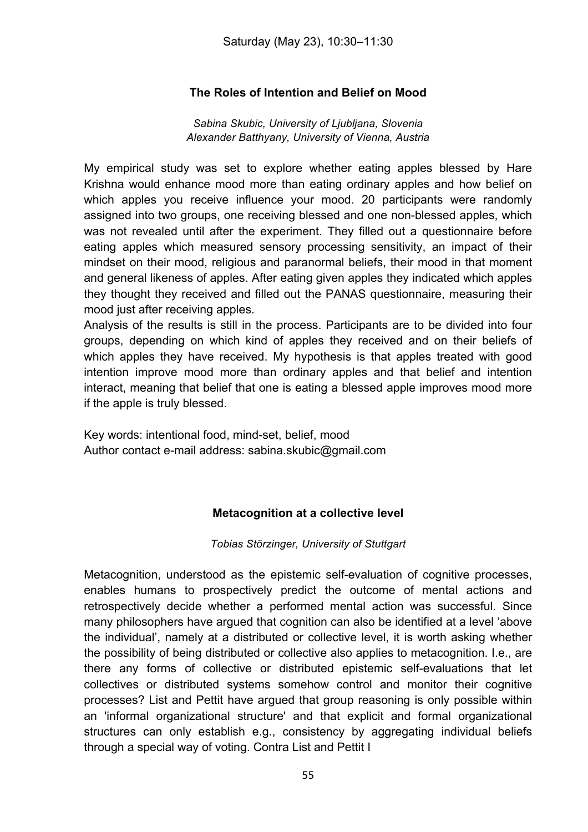# **The Roles of Intention and Belief on Mood**

*Sabina Skubic, University of Ljubljana, Slovenia Alexander Batthyany, University of Vienna, Austria*

My empirical study was set to explore whether eating apples blessed by Hare Krishna would enhance mood more than eating ordinary apples and how belief on which apples you receive influence your mood. 20 participants were randomly assigned into two groups, one receiving blessed and one non-blessed apples, which was not revealed until after the experiment. They filled out a questionnaire before eating apples which measured sensory processing sensitivity, an impact of their mindset on their mood, religious and paranormal beliefs, their mood in that moment and general likeness of apples. After eating given apples they indicated which apples they thought they received and filled out the PANAS questionnaire, measuring their mood just after receiving apples.

Analysis of the results is still in the process. Participants are to be divided into four groups, depending on which kind of apples they received and on their beliefs of which apples they have received. My hypothesis is that apples treated with good intention improve mood more than ordinary apples and that belief and intention interact, meaning that belief that one is eating a blessed apple improves mood more if the apple is truly blessed.

Key words: intentional food, mind-set, belief, mood Author contact e-mail address: sabina.skubic@gmail.com

#### **Metacognition at a collective level**

*Tobias Störzinger, University of Stuttgart*

Metacognition, understood as the epistemic self-evaluation of cognitive processes, enables humans to prospectively predict the outcome of mental actions and retrospectively decide whether a performed mental action was successful. Since many philosophers have argued that cognition can also be identified at a level 'above the individual', namely at a distributed or collective level, it is worth asking whether the possibility of being distributed or collective also applies to metacognition. I.e., are there any forms of collective or distributed epistemic self-evaluations that let collectives or distributed systems somehow control and monitor their cognitive processes? List and Pettit have argued that group reasoning is only possible within an 'informal organizational structure' and that explicit and formal organizational structures can only establish e.g., consistency by aggregating individual beliefs through a special way of voting. Contra List and Pettit I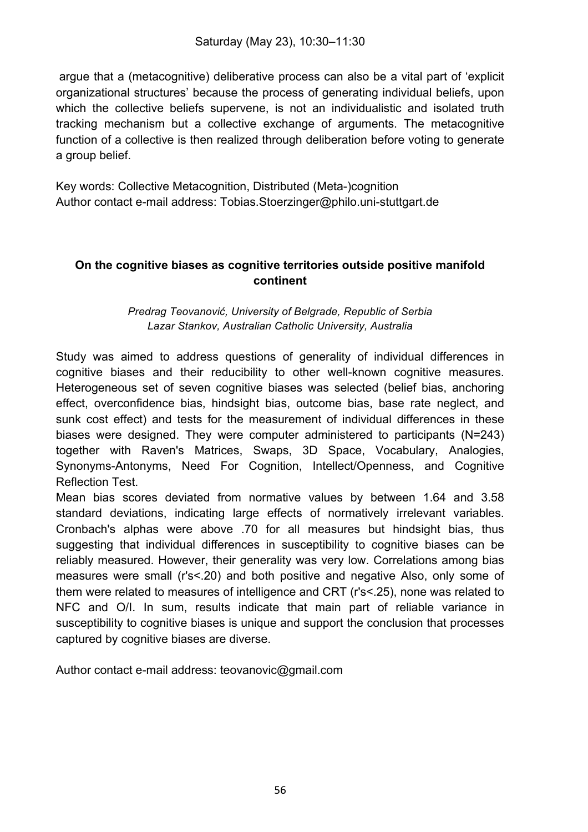argue that a (metacognitive) deliberative process can also be a vital part of 'explicit organizational structures' because the process of generating individual beliefs, upon which the collective beliefs supervene, is not an individualistic and isolated truth tracking mechanism but a collective exchange of arguments. The metacognitive function of a collective is then realized through deliberation before voting to generate a group belief.

Key words: Collective Metacognition, Distributed (Meta-)cognition Author contact e-mail address: Tobias.Stoerzinger@philo.uni-stuttgart.de

#### **On the cognitive biases as cognitive territories outside positive manifold continent**

#### *Predrag Teovanović, University of Belgrade, Republic of Serbia Lazar Stankov, Australian Catholic University, Australia*

Study was aimed to address questions of generality of individual differences in cognitive biases and their reducibility to other well-known cognitive measures. Heterogeneous set of seven cognitive biases was selected (belief bias, anchoring effect, overconfidence bias, hindsight bias, outcome bias, base rate neglect, and sunk cost effect) and tests for the measurement of individual differences in these biases were designed. They were computer administered to participants (N=243) together with Raven's Matrices, Swaps, 3D Space, Vocabulary, Analogies, Synonyms-Antonyms, Need For Cognition, Intellect/Openness, and Cognitive Reflection Test.

Mean bias scores deviated from normative values by between 1.64 and 3.58 standard deviations, indicating large effects of normatively irrelevant variables. Cronbach's alphas were above .70 for all measures but hindsight bias, thus suggesting that individual differences in susceptibility to cognitive biases can be reliably measured. However, their generality was very low. Correlations among bias measures were small (r's<.20) and both positive and negative Also, only some of them were related to measures of intelligence and CRT (r's<.25), none was related to NFC and O/I. In sum, results indicate that main part of reliable variance in susceptibility to cognitive biases is unique and support the conclusion that processes captured by cognitive biases are diverse.

Author contact e-mail address: teovanovic@gmail.com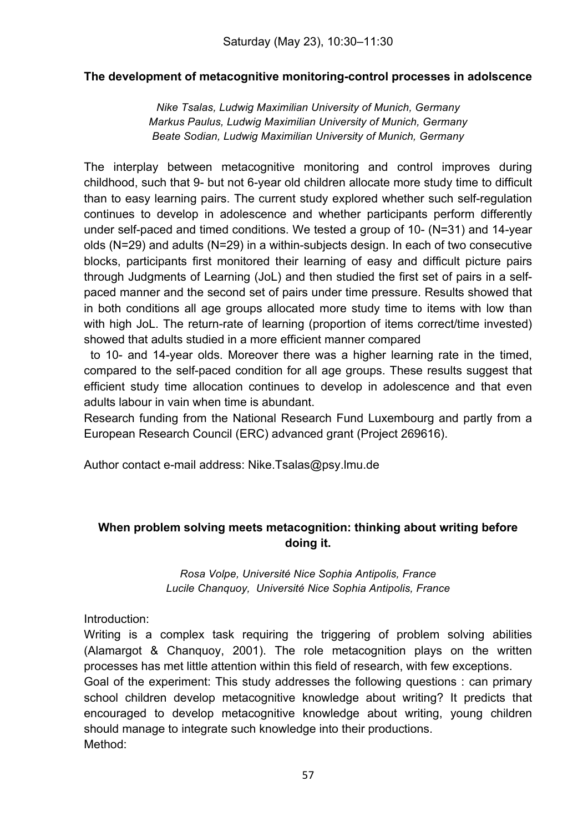#### **The development of metacognitive monitoring-control processes in adolscence**

*Nike Tsalas, Ludwig Maximilian University of Munich, Germany Markus Paulus, Ludwig Maximilian University of Munich, Germany Beate Sodian, Ludwig Maximilian University of Munich, Germany*

The interplay between metacognitive monitoring and control improves during childhood, such that 9- but not 6-year old children allocate more study time to difficult than to easy learning pairs. The current study explored whether such self-regulation continues to develop in adolescence and whether participants perform differently under self-paced and timed conditions. We tested a group of 10- (N=31) and 14-year olds (N=29) and adults (N=29) in a within-subjects design. In each of two consecutive blocks, participants first monitored their learning of easy and difficult picture pairs through Judgments of Learning (JoL) and then studied the first set of pairs in a selfpaced manner and the second set of pairs under time pressure. Results showed that in both conditions all age groups allocated more study time to items with low than with high JoL. The return-rate of learning (proportion of items correct/time invested) showed that adults studied in a more efficient manner compared

 to 10- and 14-year olds. Moreover there was a higher learning rate in the timed, compared to the self-paced condition for all age groups. These results suggest that efficient study time allocation continues to develop in adolescence and that even adults labour in vain when time is abundant.

Research funding from the National Research Fund Luxembourg and partly from a European Research Council (ERC) advanced grant (Project 269616).

Author contact e-mail address: Nike.Tsalas@psy.lmu.de

# **When problem solving meets metacognition: thinking about writing before doing it.**

*Rosa Volpe, Université Nice Sophia Antipolis, France Lucile Chanquoy, Université Nice Sophia Antipolis, France*

Introduction:

Writing is a complex task requiring the triggering of problem solving abilities (Alamargot & Chanquoy, 2001). The role metacognition plays on the written processes has met little attention within this field of research, with few exceptions.

Goal of the experiment: This study addresses the following questions : can primary school children develop metacognitive knowledge about writing? It predicts that encouraged to develop metacognitive knowledge about writing, young children should manage to integrate such knowledge into their productions. Method: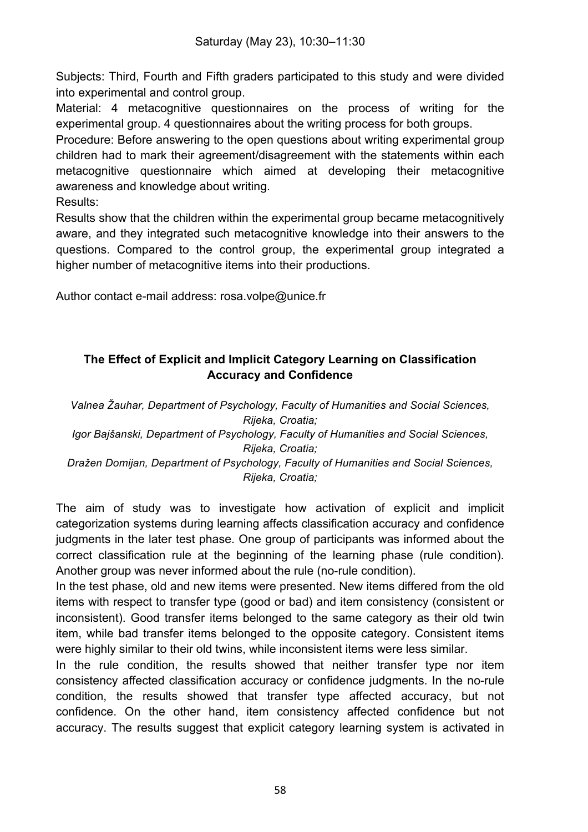Subjects: Third, Fourth and Fifth graders participated to this study and were divided into experimental and control group.

Material: 4 metacognitive questionnaires on the process of writing for the experimental group. 4 questionnaires about the writing process for both groups.

Procedure: Before answering to the open questions about writing experimental group children had to mark their agreement/disagreement with the statements within each metacognitive questionnaire which aimed at developing their metacognitive awareness and knowledge about writing.

Results:

Results show that the children within the experimental group became metacognitively aware, and they integrated such metacognitive knowledge into their answers to the questions. Compared to the control group, the experimental group integrated a higher number of metacognitive items into their productions.

Author contact e-mail address: rosa.volpe@unice.fr

# **The Effect of Explicit and Implicit Category Learning on Classification Accuracy and Confidence**

*Valnea Žauhar, Department of Psychology, Faculty of Humanities and Social Sciences, Rijeka, Croatia; Igor Bajšanski, Department of Psychology, Faculty of Humanities and Social Sciences, Rijeka, Croatia; Dražen Domijan, Department of Psychology, Faculty of Humanities and Social Sciences, Rijeka, Croatia;*

The aim of study was to investigate how activation of explicit and implicit categorization systems during learning affects classification accuracy and confidence judgments in the later test phase. One group of participants was informed about the correct classification rule at the beginning of the learning phase (rule condition). Another group was never informed about the rule (no-rule condition).

In the test phase, old and new items were presented. New items differed from the old items with respect to transfer type (good or bad) and item consistency (consistent or inconsistent). Good transfer items belonged to the same category as their old twin item, while bad transfer items belonged to the opposite category. Consistent items were highly similar to their old twins, while inconsistent items were less similar.

In the rule condition, the results showed that neither transfer type nor item consistency affected classification accuracy or confidence judgments. In the no-rule condition, the results showed that transfer type affected accuracy, but not confidence. On the other hand, item consistency affected confidence but not accuracy. The results suggest that explicit category learning system is activated in